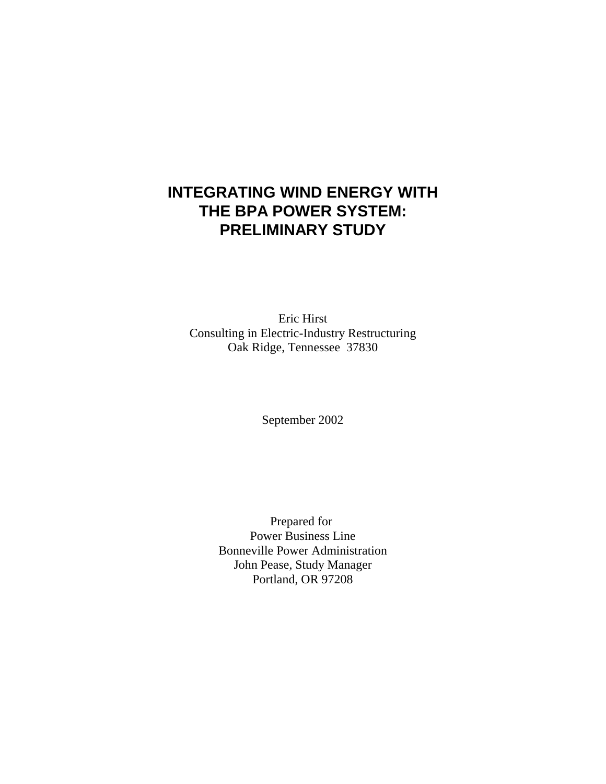# **INTEGRATING WIND ENERGY WITH THE BPA POWER SYSTEM: PRELIMINARY STUDY**

Eric Hirst Consulting in Electric-Industry Restructuring Oak Ridge, Tennessee 37830

September 2002

Prepared for Power Business Line Bonneville Power Administration John Pease, Study Manager Portland, OR 97208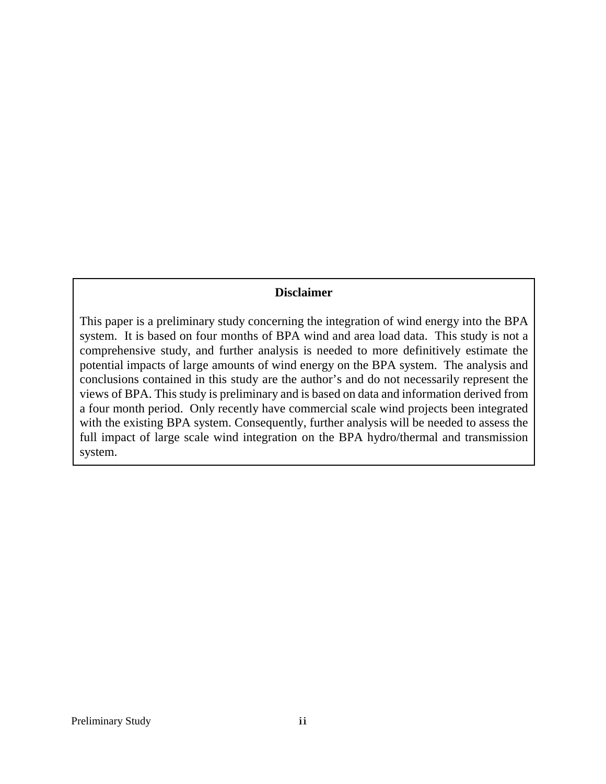## **Disclaimer**

This paper is a preliminary study concerning the integration of wind energy into the BPA system. It is based on four months of BPA wind and area load data. This study is not a comprehensive study, and further analysis is needed to more definitively estimate the potential impacts of large amounts of wind energy on the BPA system. The analysis and conclusions contained in this study are the author's and do not necessarily represent the views of BPA. This study is preliminary and is based on data and information derived from a four month period. Only recently have commercial scale wind projects been integrated with the existing BPA system. Consequently, further analysis will be needed to assess the full impact of large scale wind integration on the BPA hydro/thermal and transmission system.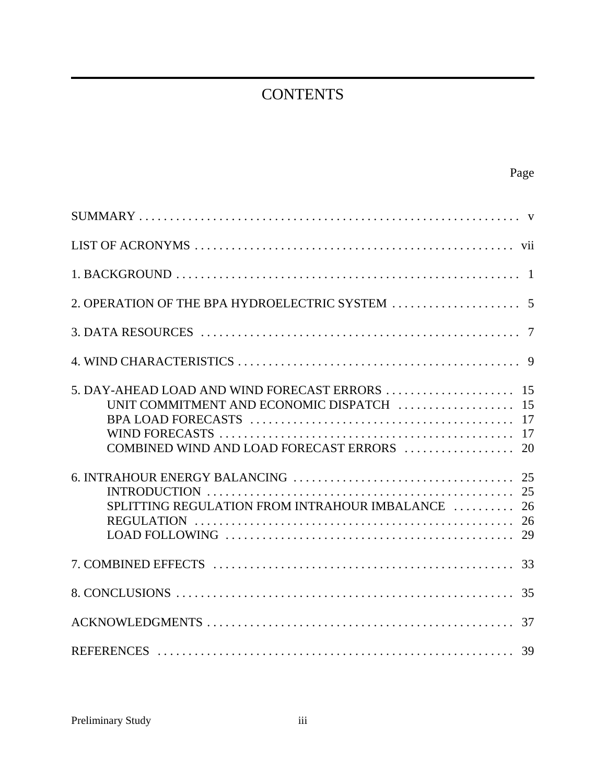# **CONTENTS**

| UNIT COMMITMENT AND ECONOMIC DISPATCH  15<br>SPLITTING REGULATION FROM INTRAHOUR IMBALANCE  26 |    |
|------------------------------------------------------------------------------------------------|----|
|                                                                                                |    |
|                                                                                                |    |
|                                                                                                |    |
|                                                                                                | 37 |
|                                                                                                |    |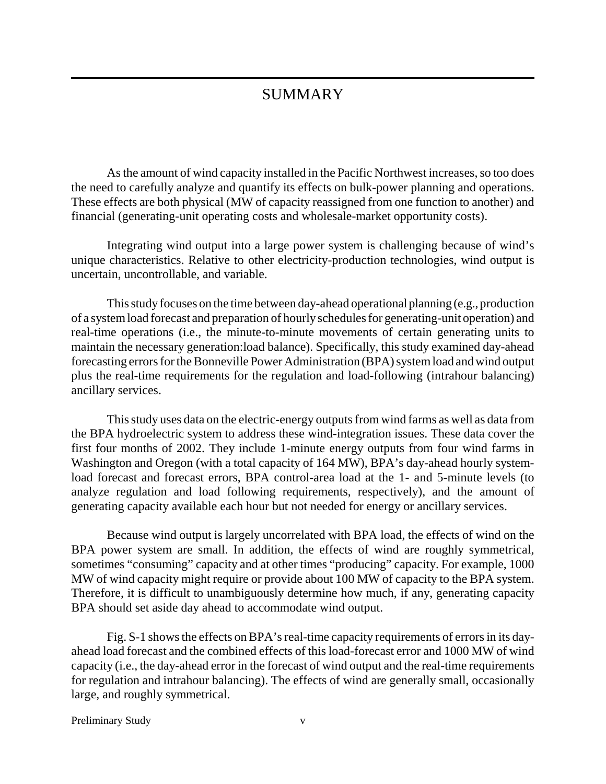# **SUMMARY**

As the amount of wind capacity installed in the Pacific Northwest increases, so too does the need to carefully analyze and quantify its effects on bulk-power planning and operations. These effects are both physical (MW of capacity reassigned from one function to another) and financial (generating-unit operating costs and wholesale-market opportunity costs).

Integrating wind output into a large power system is challenging because of wind's unique characteristics. Relative to other electricity-production technologies, wind output is uncertain, uncontrollable, and variable.

This study focuses on the time between day-ahead operational planning (e.g., production of a system load forecast and preparation of hourly schedules for generating-unit operation) and real-time operations (i.e., the minute-to-minute movements of certain generating units to maintain the necessary generation:load balance). Specifically, this study examined day-ahead forecasting errors for the Bonneville Power Administration (BPA) system load and wind output plus the real-time requirements for the regulation and load-following (intrahour balancing) ancillary services.

This study uses data on the electric-energy outputs from wind farms as well as data from the BPA hydroelectric system to address these wind-integration issues. These data cover the first four months of 2002. They include 1-minute energy outputs from four wind farms in Washington and Oregon (with a total capacity of 164 MW), BPA's day-ahead hourly systemload forecast and forecast errors, BPA control-area load at the 1- and 5-minute levels (to analyze regulation and load following requirements, respectively), and the amount of generating capacity available each hour but not needed for energy or ancillary services.

Because wind output is largely uncorrelated with BPA load, the effects of wind on the BPA power system are small. In addition, the effects of wind are roughly symmetrical, sometimes "consuming" capacity and at other times "producing" capacity. For example, 1000 MW of wind capacity might require or provide about 100 MW of capacity to the BPA system. Therefore, it is difficult to unambiguously determine how much, if any, generating capacity BPA should set aside day ahead to accommodate wind output.

Fig. S-1 shows the effects on BPA's real-time capacity requirements of errors in its dayahead load forecast and the combined effects of this load-forecast error and 1000 MW of wind capacity (i.e., the day-ahead error in the forecast of wind output and the real-time requirements for regulation and intrahour balancing). The effects of wind are generally small, occasionally large, and roughly symmetrical.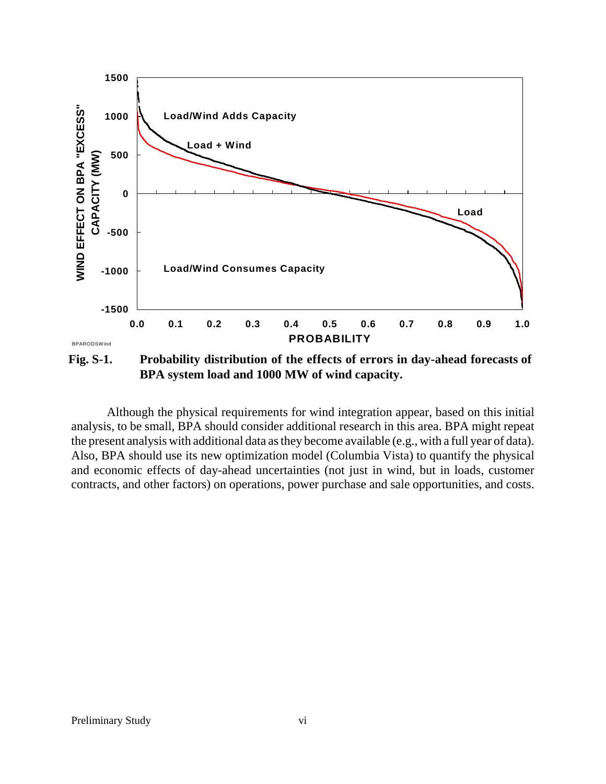

**BPA system load and 1000 MW of wind capacity.**

Although the physical requirements for wind integration appear, based on this initial analysis, to be small, BPA should consider additional research in this area. BPA might repeat the present analysis with additional data as they become available (e.g., with a full year of data). Also, BPA should use its new optimization model (Columbia Vista) to quantify the physical and economic effects of day-ahead uncertainties (not just in wind, but in loads, customer contracts, and other factors) on operations, power purchase and sale opportunities, and costs.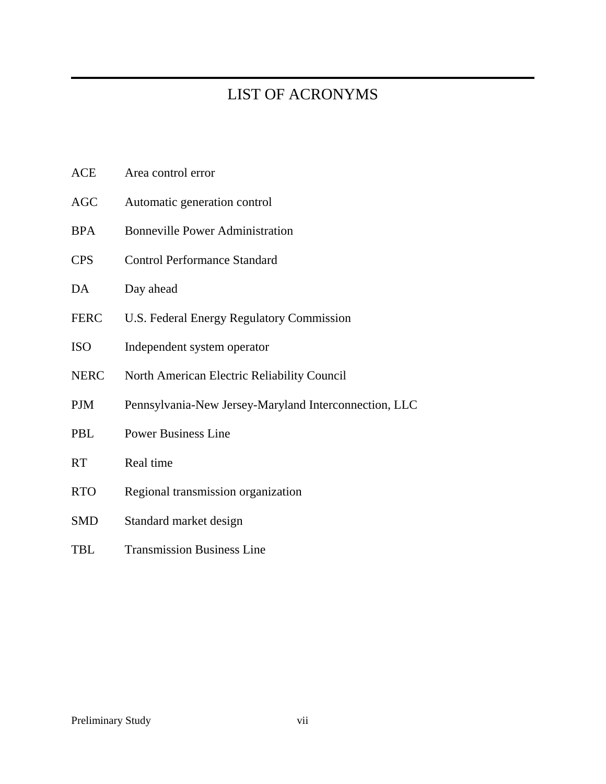# LIST OF ACRONYMS

| ACE         | Area control error                                    |
|-------------|-------------------------------------------------------|
| AGC         | Automatic generation control                          |
| BPA         | <b>Bonneville Power Administration</b>                |
| <b>CPS</b>  | <b>Control Performance Standard</b>                   |
| DA          | Day ahead                                             |
| <b>FERC</b> | U.S. Federal Energy Regulatory Commission             |
| ISO         | Independent system operator                           |
| <b>NERC</b> | North American Electric Reliability Council           |
| PJM         | Pennsylvania-New Jersey-Maryland Interconnection, LLC |
| PBL         | <b>Power Business Line</b>                            |
| RT          | Real time                                             |
| <b>RTO</b>  | Regional transmission organization                    |
| SMD         | Standard market design                                |
| TBL         | <b>Transmission Business Line</b>                     |
|             |                                                       |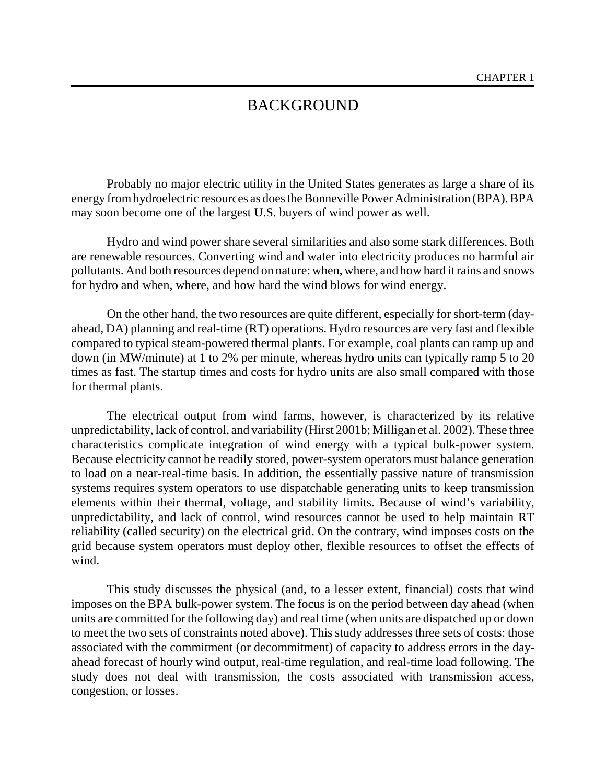## BACKGROUND

Probably no major electric utility in the United States generates as large a share of its energy from hydroelectric resources as does the Bonneville Power Administration (BPA). BPA may soon become one of the largest U.S. buyers of wind power as well.

Hydro and wind power share several similarities and also some stark differences. Both are renewable resources. Converting wind and water into electricity produces no harmful air pollutants. And both resources depend on nature: when, where, and how hard it rains and snows for hydro and when, where, and how hard the wind blows for wind energy.

On the other hand, the two resources are quite different, especially for short-term (dayahead, DA) planning and real-time (RT) operations. Hydro resources are very fast and flexible compared to typical steam-powered thermal plants. For example, coal plants can ramp up and down (in MW/minute) at 1 to 2% per minute, whereas hydro units can typically ramp 5 to 20 times as fast. The startup times and costs for hydro units are also small compared with those for thermal plants.

The electrical output from wind farms, however, is characterized by its relative unpredictability, lack of control, and variability (Hirst 2001b; Milligan et al. 2002). These three characteristics complicate integration of wind energy with a typical bulk-power system. Because electricity cannot be readily stored, power-system operators must balance generation to load on a near-real-time basis. In addition, the essentially passive nature of transmission systems requires system operators to use dispatchable generating units to keep transmission elements within their thermal, voltage, and stability limits. Because of wind's variability, unpredictability, and lack of control, wind resources cannot be used to help maintain RT reliability (called security) on the electrical grid. On the contrary, wind imposes costs on the grid because system operators must deploy other, flexible resources to offset the effects of wind.

This study discusses the physical (and, to a lesser extent, financial) costs that wind imposes on the BPA bulk-power system. The focus is on the period between day ahead (when units are committed for the following day) and real time (when units are dispatched up or down to meet the two sets of constraints noted above). This study addresses three sets of costs: those associated with the commitment (or decommitment) of capacity to address errors in the dayahead forecast of hourly wind output, real-time regulation, and real-time load following. The study does not deal with transmission, the costs associated with transmission access, congestion, or losses.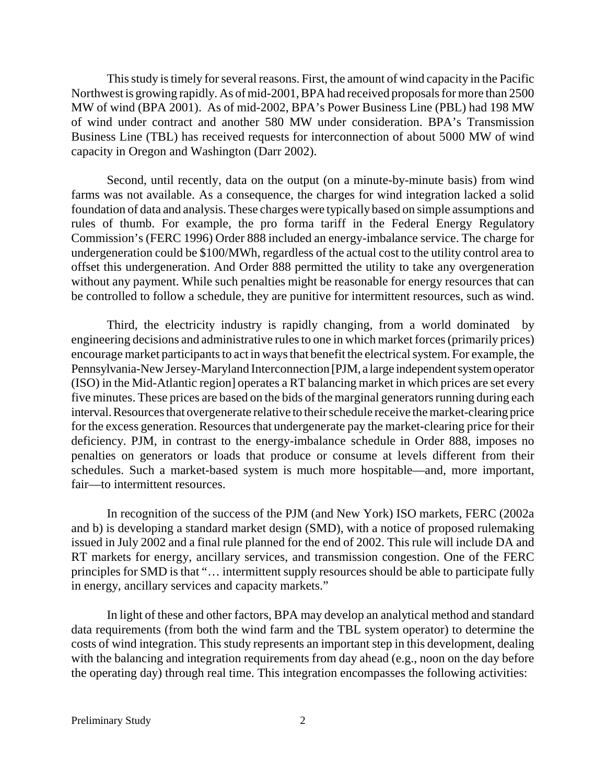This study is timely for several reasons. First, the amount of wind capacity in the Pacific Northwest is growing rapidly. As of mid-2001, BPA had received proposals for more than 2500 MW of wind (BPA 2001). As of mid-2002, BPA's Power Business Line (PBL) had 198 MW of wind under contract and another 580 MW under consideration. BPA's Transmission Business Line (TBL) has received requests for interconnection of about 5000 MW of wind capacity in Oregon and Washington (Darr 2002).

Second, until recently, data on the output (on a minute-by-minute basis) from wind farms was not available. As a consequence, the charges for wind integration lacked a solid foundation of data and analysis. These charges were typically based on simple assumptions and rules of thumb. For example, the pro forma tariff in the Federal Energy Regulatory Commission's (FERC 1996) Order 888 included an energy-imbalance service. The charge for undergeneration could be \$100/MWh, regardless of the actual cost to the utility control area to offset this undergeneration. And Order 888 permitted the utility to take any overgeneration without any payment. While such penalties might be reasonable for energy resources that can be controlled to follow a schedule, they are punitive for intermittent resources, such as wind.

Third, the electricity industry is rapidly changing, from a world dominated by engineering decisions and administrative rules to one in which market forces (primarily prices) encourage market participants to act in ways that benefit the electrical system. For example, the Pennsylvania-New Jersey-Maryland Interconnection [PJM, a large independent system operator (ISO) in the Mid-Atlantic region] operates a RT balancing market in which prices are set every five minutes. These prices are based on the bids of the marginal generators running during each interval. Resources that overgenerate relative to their schedule receive the market-clearing price for the excess generation. Resources that undergenerate pay the market-clearing price for their deficiency. PJM, in contrast to the energy-imbalance schedule in Order 888, imposes no penalties on generators or loads that produce or consume at levels different from their schedules. Such a market-based system is much more hospitable—and, more important, fair—to intermittent resources.

In recognition of the success of the PJM (and New York) ISO markets, FERC (2002a and b) is developing a standard market design (SMD), with a notice of proposed rulemaking issued in July 2002 and a final rule planned for the end of 2002. This rule will include DA and RT markets for energy, ancillary services, and transmission congestion. One of the FERC principles for SMD is that "… intermittent supply resources should be able to participate fully in energy, ancillary services and capacity markets."

In light of these and other factors, BPA may develop an analytical method and standard data requirements (from both the wind farm and the TBL system operator) to determine the costs of wind integration. This study represents an important step in this development, dealing with the balancing and integration requirements from day ahead (e.g., noon on the day before the operating day) through real time. This integration encompasses the following activities: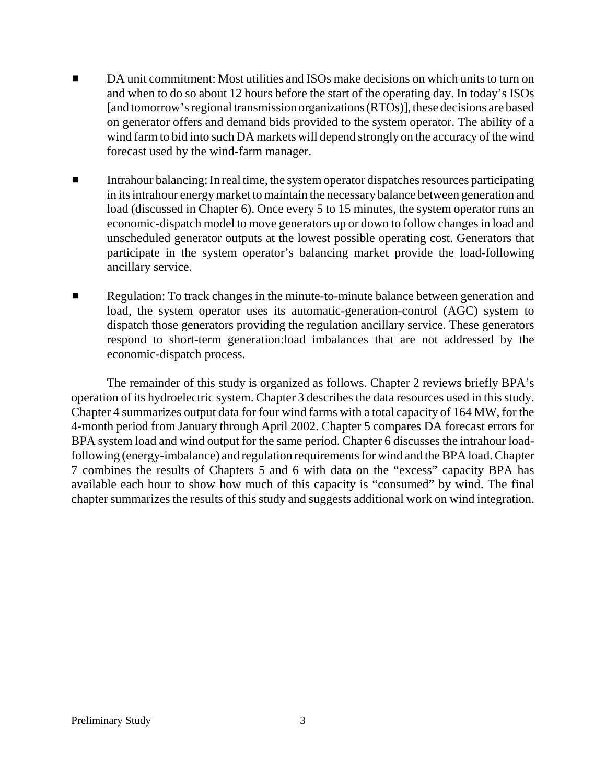- DA unit commitment: Most utilities and ISOs make decisions on which units to turn on and when to do so about 12 hours before the start of the operating day. In today's ISOs [and tomorrow's regional transmission organizations (RTOs)], these decisions are based on generator offers and demand bids provided to the system operator. The ability of a wind farm to bid into such DA markets will depend strongly on the accuracy of the wind forecast used by the wind-farm manager.
- Intrahour balancing: In real time, the system operator dispatches resources participating in its intrahour energy market to maintain the necessary balance between generation and load (discussed in Chapter 6). Once every 5 to 15 minutes, the system operator runs an economic-dispatch model to move generators up or down to follow changes in load and unscheduled generator outputs at the lowest possible operating cost. Generators that participate in the system operator's balancing market provide the load-following ancillary service.
- Regulation: To track changes in the minute-to-minute balance between generation and load, the system operator uses its automatic-generation-control (AGC) system to dispatch those generators providing the regulation ancillary service. These generators respond to short-term generation:load imbalances that are not addressed by the economic-dispatch process.

The remainder of this study is organized as follows. Chapter 2 reviews briefly BPA's operation of its hydroelectric system. Chapter 3 describes the data resources used in this study. Chapter 4 summarizes output data for four wind farms with a total capacity of 164 MW, for the 4-month period from January through April 2002. Chapter 5 compares DA forecast errors for BPA system load and wind output for the same period. Chapter 6 discusses the intrahour loadfollowing (energy-imbalance) and regulation requirements for wind and the BPA load. Chapter 7 combines the results of Chapters 5 and 6 with data on the "excess" capacity BPA has available each hour to show how much of this capacity is "consumed" by wind. The final chapter summarizes the results of this study and suggests additional work on wind integration.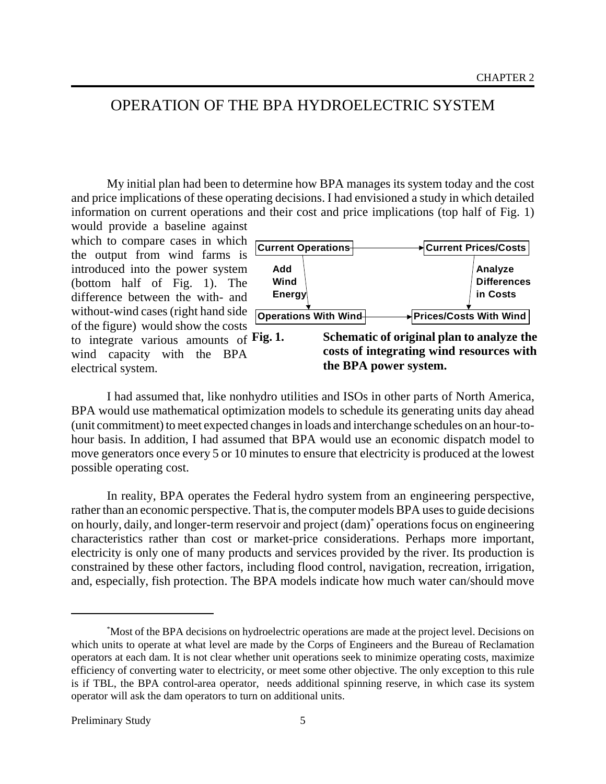## OPERATION OF THE BPA HYDROELECTRIC SYSTEM

My initial plan had been to determine how BPA manages its system today and the cost and price implications of these operating decisions. I had envisioned a study in which detailed information on current operations and their cost and price implications (top half of Fig. 1) would provide a baseline against

which to compare cases in which the output from wind farms is introduced into the power system (bottom half of Fig. 1). The difference between the with- and without-wind cases (right hand side of the figure) would show the costs to integrate various amounts of Fig. 1. wind capacity with the BPA electrical system.



I had assumed that, like nonhydro utilities and ISOs in other parts of North America, BPA would use mathematical optimization models to schedule its generating units day ahead (unit commitment) to meet expected changes in loads and interchange schedules on an hour-tohour basis. In addition, I had assumed that BPA would use an economic dispatch model to move generators once every 5 or 10 minutes to ensure that electricity is produced at the lowest possible operating cost.

In reality, BPA operates the Federal hydro system from an engineering perspective, rather than an economic perspective. That is, the computer models BPA uses to guide decisions on hourly, daily, and longer-term reservoir and project (dam)\* operations focus on engineering characteristics rather than cost or market-price considerations. Perhaps more important, electricity is only one of many products and services provided by the river. Its production is constrained by these other factors, including flood control, navigation, recreation, irrigation, and, especially, fish protection. The BPA models indicate how much water can/should move

<sup>\*</sup> Most of the BPA decisions on hydroelectric operations are made at the project level. Decisions on which units to operate at what level are made by the Corps of Engineers and the Bureau of Reclamation operators at each dam. It is not clear whether unit operations seek to minimize operating costs, maximize efficiency of converting water to electricity, or meet some other objective. The only exception to this rule is if TBL, the BPA control-area operator, needs additional spinning reserve, in which case its system operator will ask the dam operators to turn on additional units.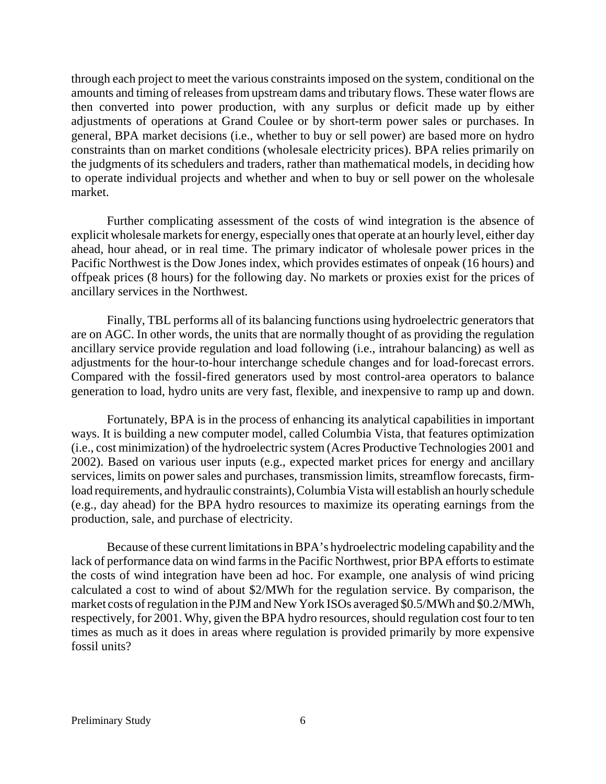through each project to meet the various constraints imposed on the system, conditional on the amounts and timing of releases from upstream dams and tributary flows. These water flows are then converted into power production, with any surplus or deficit made up by either adjustments of operations at Grand Coulee or by short-term power sales or purchases. In general, BPA market decisions (i.e., whether to buy or sell power) are based more on hydro constraints than on market conditions (wholesale electricity prices). BPA relies primarily on the judgments of its schedulers and traders, rather than mathematical models, in deciding how to operate individual projects and whether and when to buy or sell power on the wholesale market.

Further complicating assessment of the costs of wind integration is the absence of explicit wholesale markets for energy, especially ones that operate at an hourly level, either day ahead, hour ahead, or in real time. The primary indicator of wholesale power prices in the Pacific Northwest is the Dow Jones index, which provides estimates of onpeak (16 hours) and offpeak prices (8 hours) for the following day. No markets or proxies exist for the prices of ancillary services in the Northwest.

Finally, TBL performs all of its balancing functions using hydroelectric generators that are on AGC. In other words, the units that are normally thought of as providing the regulation ancillary service provide regulation and load following (i.e., intrahour balancing) as well as adjustments for the hour-to-hour interchange schedule changes and for load-forecast errors. Compared with the fossil-fired generators used by most control-area operators to balance generation to load, hydro units are very fast, flexible, and inexpensive to ramp up and down.

Fortunately, BPA is in the process of enhancing its analytical capabilities in important ways. It is building a new computer model, called Columbia Vista, that features optimization (i.e., cost minimization) of the hydroelectric system (Acres Productive Technologies 2001 and 2002). Based on various user inputs (e.g., expected market prices for energy and ancillary services, limits on power sales and purchases, transmission limits, streamflow forecasts, firmload requirements, and hydraulic constraints), Columbia Vista will establish an hourly schedule (e.g., day ahead) for the BPA hydro resources to maximize its operating earnings from the production, sale, and purchase of electricity.

Because of these current limitations in BPA's hydroelectric modeling capability and the lack of performance data on wind farms in the Pacific Northwest, prior BPA efforts to estimate the costs of wind integration have been ad hoc. For example, one analysis of wind pricing calculated a cost to wind of about \$2/MWh for the regulation service. By comparison, the market costs of regulation in the PJM and New York ISOs averaged \$0.5/MWh and \$0.2/MWh, respectively, for 2001. Why, given the BPA hydro resources, should regulation cost four to ten times as much as it does in areas where regulation is provided primarily by more expensive fossil units?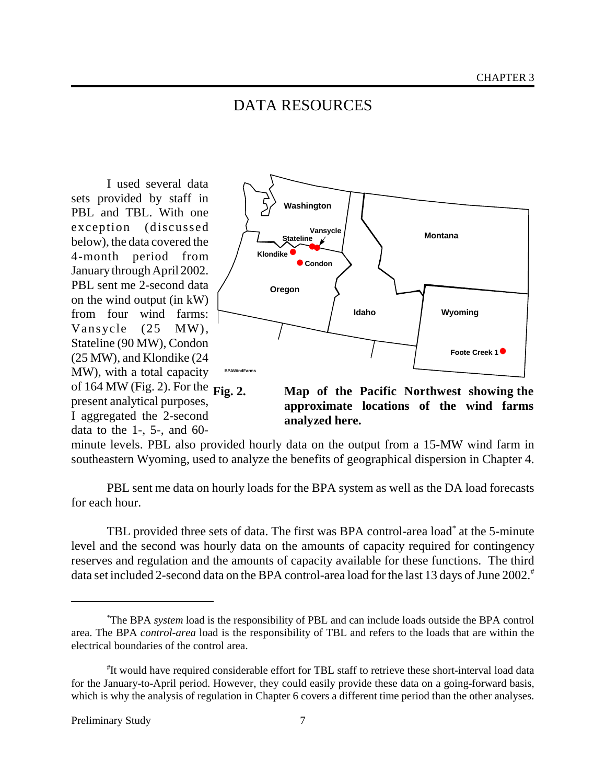## DATA RESOURCES

I used several data sets provided by staff in PBL and TBL. With one exception (discussed below), the data covered the 4-month period from January through April 2002. PBL sent me 2-second data on the wind output (in kW) from four wind farms: Vansycle (25 MW), Stateline (90 MW), Condon (25 MW), and Klondike (24 MW), with a total capacity of 164 MW (Fig. 2). For the Fig. 2. present analytical purposes, I aggregated the 2-second data to the 1-, 5-, and 60-



**Fig. 2. Map of the Pacific Northwest showing the approximate locations of the wind farms analyzed here.**

minute levels. PBL also provided hourly data on the output from a 15-MW wind farm in southeastern Wyoming, used to analyze the benefits of geographical dispersion in Chapter 4.

PBL sent me data on hourly loads for the BPA system as well as the DA load forecasts for each hour.

TBL provided three sets of data. The first was BPA control-area load\* at the 5-minute level and the second was hourly data on the amounts of capacity required for contingency reserves and regulation and the amounts of capacity available for these functions. The third data set included 2-second data on the BPA control-area load for the last 13 days of June 2002.<sup>#</sup>

<sup>\*</sup> The BPA *system* load is the responsibility of PBL and can include loads outside the BPA control area. The BPA *control-area* load is the responsibility of TBL and refers to the loads that are within the electrical boundaries of the control area.

<sup>#</sup> It would have required considerable effort for TBL staff to retrieve these short-interval load data for the January-to-April period. However, they could easily provide these data on a going-forward basis, which is why the analysis of regulation in Chapter 6 covers a different time period than the other analyses.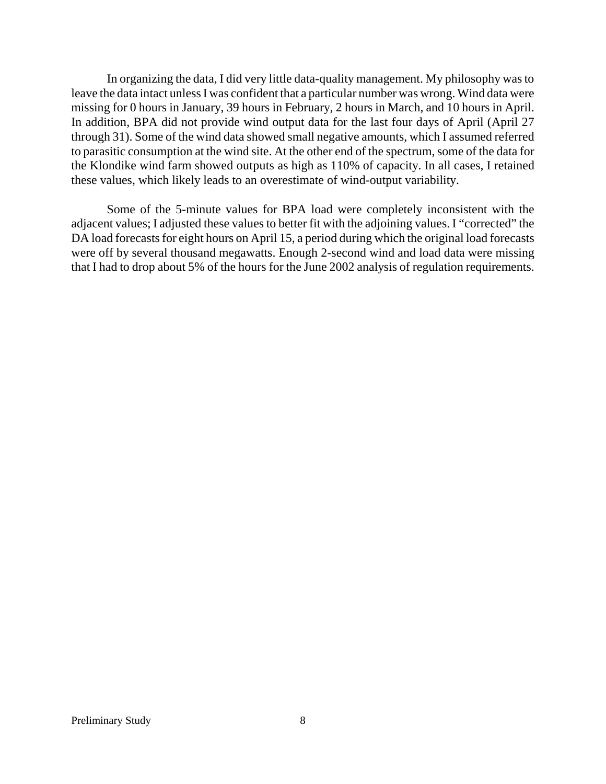In organizing the data, I did very little data-quality management. My philosophy was to leave the data intact unless I was confident that a particular number was wrong. Wind data were missing for 0 hours in January, 39 hours in February, 2 hours in March, and 10 hours in April. In addition, BPA did not provide wind output data for the last four days of April (April 27 through 31). Some of the wind data showed small negative amounts, which I assumed referred to parasitic consumption at the wind site. At the other end of the spectrum, some of the data for the Klondike wind farm showed outputs as high as 110% of capacity. In all cases, I retained these values, which likely leads to an overestimate of wind-output variability.

Some of the 5-minute values for BPA load were completely inconsistent with the adjacent values; I adjusted these values to better fit with the adjoining values. I "corrected" the DA load forecasts for eight hours on April 15, a period during which the original load forecasts were off by several thousand megawatts. Enough 2-second wind and load data were missing that I had to drop about 5% of the hours for the June 2002 analysis of regulation requirements.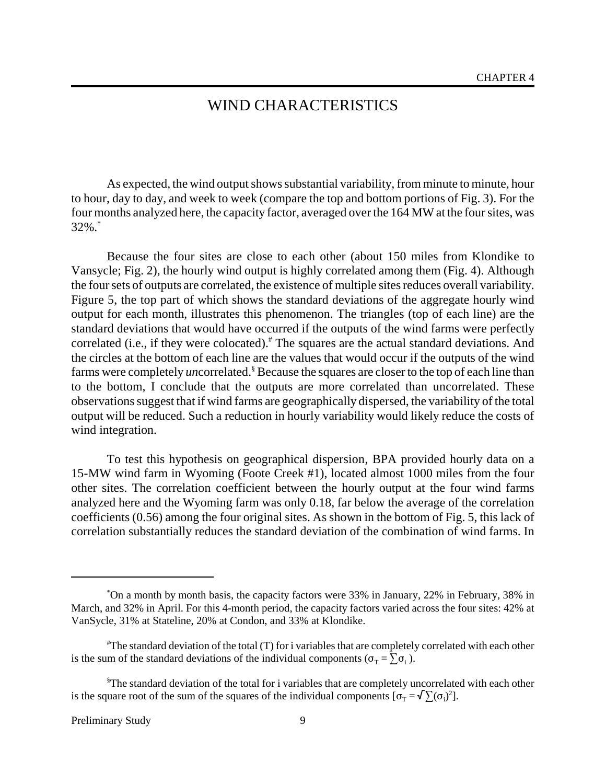## WIND CHARACTERISTICS

As expected, the wind output shows substantial variability, from minute to minute, hour to hour, day to day, and week to week (compare the top and bottom portions of Fig. 3). For the four months analyzed here, the capacity factor, averaged over the 164 MW at the four sites, was 32%.\*

Because the four sites are close to each other (about 150 miles from Klondike to Vansycle; Fig. 2), the hourly wind output is highly correlated among them (Fig. 4). Although the four sets of outputs are correlated, the existence of multiple sites reduces overall variability. Figure 5, the top part of which shows the standard deviations of the aggregate hourly wind output for each month, illustrates this phenomenon. The triangles (top of each line) are the standard deviations that would have occurred if the outputs of the wind farms were perfectly correlated (i.e., if they were colocated).<sup>#</sup> The squares are the actual standard deviations. And the circles at the bottom of each line are the values that would occur if the outputs of the wind farms were completely *un*correlated.<sup>§</sup> Because the squares are closer to the top of each line than to the bottom, I conclude that the outputs are more correlated than uncorrelated. These observations suggest that if wind farms are geographically dispersed, the variability of the total output will be reduced. Such a reduction in hourly variability would likely reduce the costs of wind integration.

To test this hypothesis on geographical dispersion, BPA provided hourly data on a 15-MW wind farm in Wyoming (Foote Creek #1), located almost 1000 miles from the four other sites. The correlation coefficient between the hourly output at the four wind farms analyzed here and the Wyoming farm was only 0.18, far below the average of the correlation coefficients (0.56) among the four original sites. As shown in the bottom of Fig. 5, this lack of correlation substantially reduces the standard deviation of the combination of wind farms. In

<sup>\*</sup> On a month by month basis, the capacity factors were 33% in January, 22% in February, 38% in March, and 32% in April. For this 4-month period, the capacity factors varied across the four sites: 42% at VanSycle, 31% at Stateline, 20% at Condon, and 33% at Klondike.

<sup>#</sup> The standard deviation of the total (T) for i variables that are completely correlated with each other is the sum of the standard deviations of the individual components  $(\sigma_T = \sum \sigma_i)$ .

<sup>§</sup> The standard deviation of the total for i variables that are completely uncorrelated with each other is the square root of the sum of the squares of the individual components  $[\sigma_T = \sqrt{\sum} (\sigma_i)^2]$ .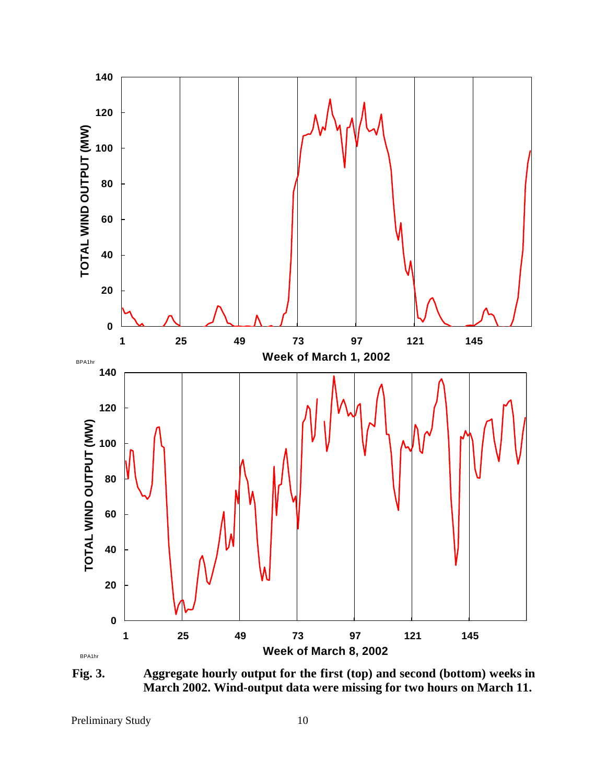

**Fig. 3. Aggregate hourly output for the first (top) and second (bottom) weeks in March 2002. Wind-output data were missing for two hours on March 11.**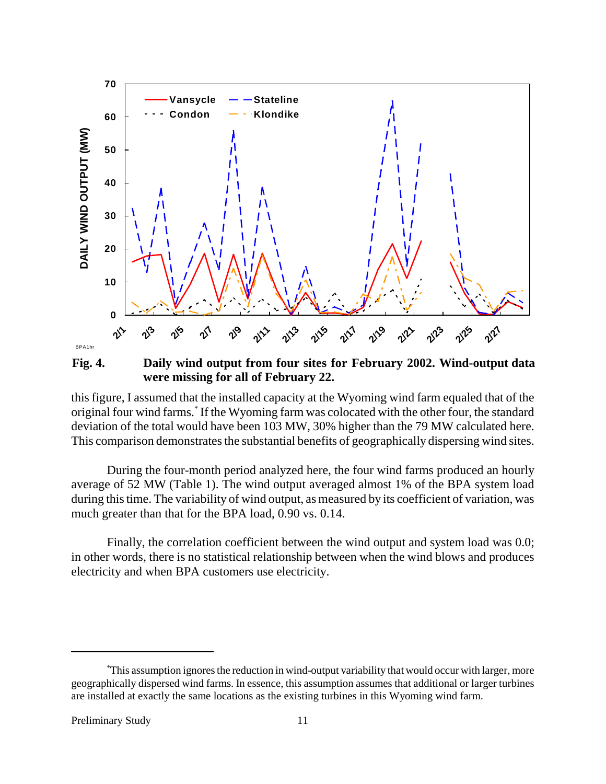

**Fig. 4. Daily wind output from four sites for February 2002. Wind-output data were missing for all of February 22.**

this figure, I assumed that the installed capacity at the Wyoming wind farm equaled that of the original four wind farms.\* If the Wyoming farm was colocated with the other four, the standard deviation of the total would have been 103 MW, 30% higher than the 79 MW calculated here. This comparison demonstrates the substantial benefits of geographically dispersing wind sites.

During the four-month period analyzed here, the four wind farms produced an hourly average of 52 MW (Table 1). The wind output averaged almost 1% of the BPA system load during this time. The variability of wind output, as measured by its coefficient of variation, was much greater than that for the BPA load, 0.90 vs. 0.14.

Finally, the correlation coefficient between the wind output and system load was 0.0; in other words, there is no statistical relationship between when the wind blows and produces electricity and when BPA customers use electricity.

<sup>\*</sup> This assumption ignores the reduction in wind-output variability that would occur with larger, more geographically dispersed wind farms. In essence, this assumption assumes that additional or larger turbines are installed at exactly the same locations as the existing turbines in this Wyoming wind farm.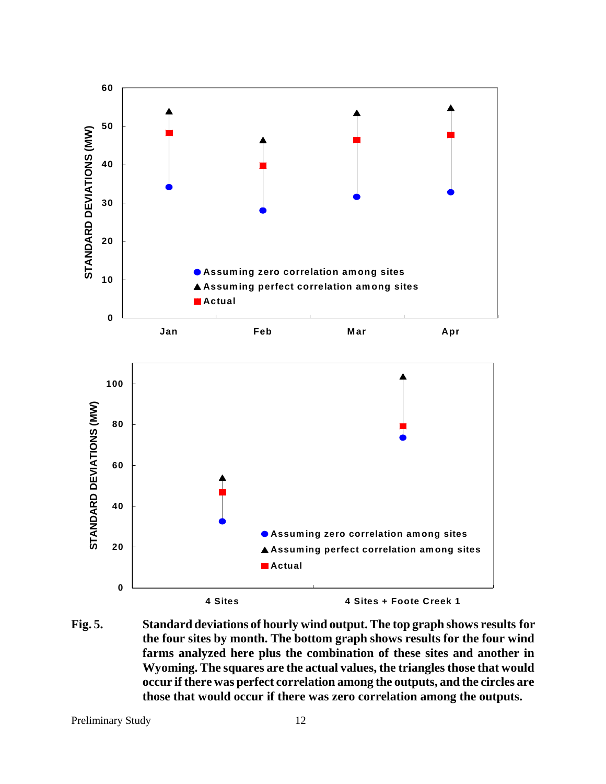

**Fig. 5. Standard deviations of hourly wind output. The top graph shows results for the four sites by month. The bottom graph shows results for the four wind farms analyzed here plus the combination of these sites and another in Wyoming. The squares are the actual values, the triangles those that would occur if there was perfect correlation among the outputs, and the circles are those that would occur if there was zero correlation among the outputs.**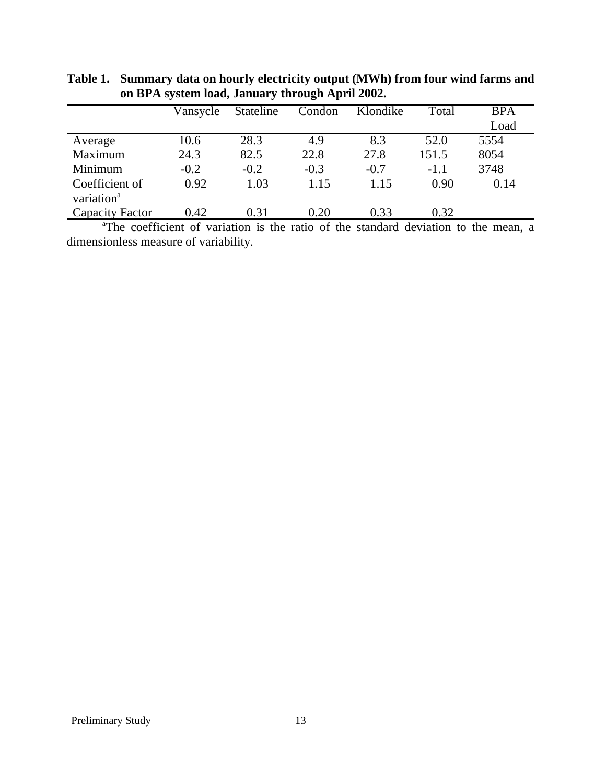|                         | Vansycle             | Stateline | Condon | Klondike                                                                                                                                                                                                                        | Total  | <b>BPA</b> |
|-------------------------|----------------------|-----------|--------|---------------------------------------------------------------------------------------------------------------------------------------------------------------------------------------------------------------------------------|--------|------------|
|                         |                      |           |        |                                                                                                                                                                                                                                 |        | Load       |
| Average                 | 10.6                 | 28.3      | 4.9    | 8.3                                                                                                                                                                                                                             | 52.0   | 5554       |
| Maximum                 | 24.3                 | 82.5      | 22.8   | 27.8                                                                                                                                                                                                                            | 151.5  | 8054       |
| Minimum                 | $-0.2$               | $-0.2$    | $-0.3$ | $-0.7$                                                                                                                                                                                                                          | $-1.1$ | 3748       |
| Coefficient of          | 0.92                 | 1.03      | 1.15   | 1.15                                                                                                                                                                                                                            | 0.90   | 0.14       |
| variation <sup>a</sup>  |                      |           |        |                                                                                                                                                                                                                                 |        |            |
| Capacity Factor         | 0.42                 | 0.31      | 0.20   | 0.33                                                                                                                                                                                                                            | 0.32   |            |
| $\sim$ $\sim$<br>0.0003 | $\sim$ $\sim$ $\sim$ |           |        | $\sim$ . And the set of the set of the set of the set of the set of the set of the set of the set of the set of the set of the set of the set of the set of the set of the set of the set of the set of the set of the set of t |        |            |

**Table 1. Summary data on hourly electricity output (MWh) from four wind farms and on BPA system load, January through April 2002.**

<sup>a</sup>The coefficient of variation is the ratio of the standard deviation to the mean, a dimensionless measure of variability.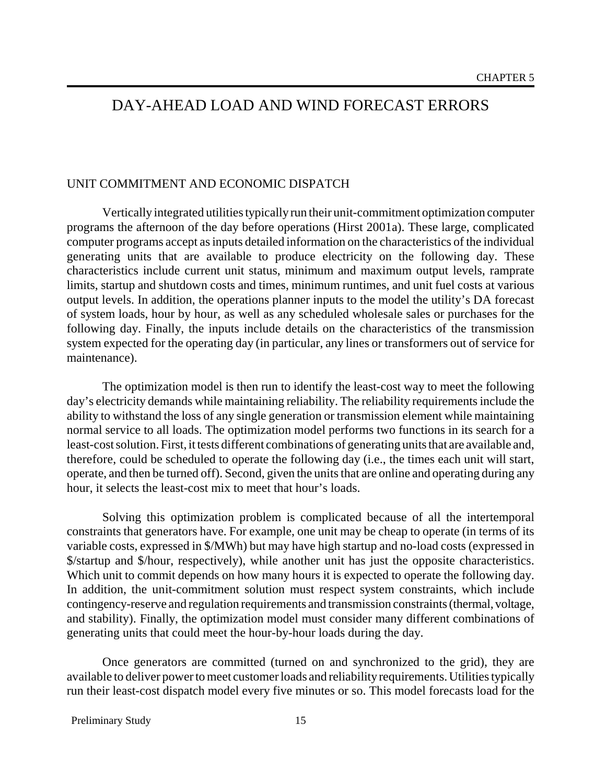## DAY-AHEAD LOAD AND WIND FORECAST ERRORS

#### UNIT COMMITMENT AND ECONOMIC DISPATCH

Vertically integrated utilities typically run their unit-commitment optimization computer programs the afternoon of the day before operations (Hirst 2001a). These large, complicated computer programs accept as inputs detailed information on the characteristics of the individual generating units that are available to produce electricity on the following day. These characteristics include current unit status, minimum and maximum output levels, ramprate limits, startup and shutdown costs and times, minimum runtimes, and unit fuel costs at various output levels. In addition, the operations planner inputs to the model the utility's DA forecast of system loads, hour by hour, as well as any scheduled wholesale sales or purchases for the following day. Finally, the inputs include details on the characteristics of the transmission system expected for the operating day (in particular, any lines or transformers out of service for maintenance).

The optimization model is then run to identify the least-cost way to meet the following day's electricity demands while maintaining reliability. The reliability requirements include the ability to withstand the loss of any single generation or transmission element while maintaining normal service to all loads. The optimization model performs two functions in its search for a least-cost solution. First, it tests different combinations of generating units that are available and, therefore, could be scheduled to operate the following day (i.e., the times each unit will start, operate, and then be turned off). Second, given the units that are online and operating during any hour, it selects the least-cost mix to meet that hour's loads.

Solving this optimization problem is complicated because of all the intertemporal constraints that generators have. For example, one unit may be cheap to operate (in terms of its variable costs, expressed in \$/MWh) but may have high startup and no-load costs (expressed in \$/startup and \$/hour, respectively), while another unit has just the opposite characteristics. Which unit to commit depends on how many hours it is expected to operate the following day. In addition, the unit-commitment solution must respect system constraints, which include contingency-reserve and regulation requirements and transmission constraints (thermal, voltage, and stability). Finally, the optimization model must consider many different combinations of generating units that could meet the hour-by-hour loads during the day.

Once generators are committed (turned on and synchronized to the grid), they are available to deliver power to meet customer loads and reliability requirements. Utilities typically run their least-cost dispatch model every five minutes or so. This model forecasts load for the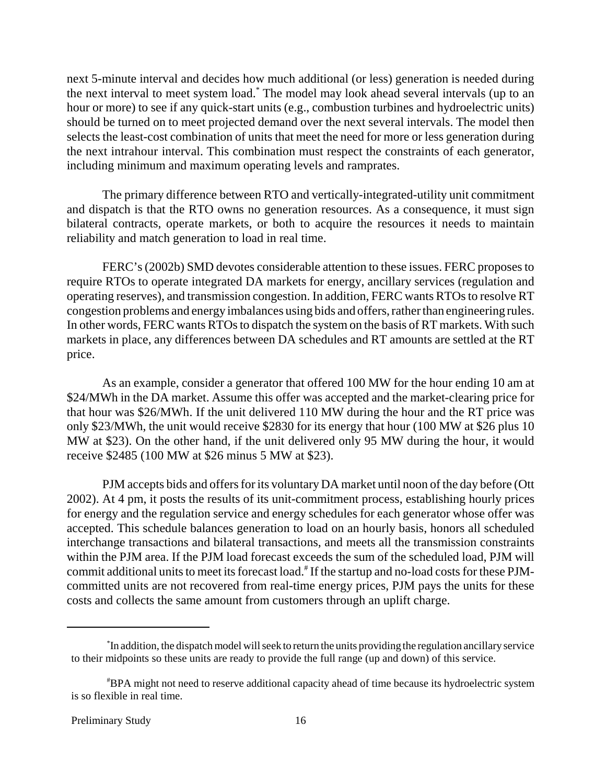next 5-minute interval and decides how much additional (or less) generation is needed during the next interval to meet system load.\* The model may look ahead several intervals (up to an hour or more) to see if any quick-start units (e.g., combustion turbines and hydroelectric units) should be turned on to meet projected demand over the next several intervals. The model then selects the least-cost combination of units that meet the need for more or less generation during the next intrahour interval. This combination must respect the constraints of each generator, including minimum and maximum operating levels and ramprates.

The primary difference between RTO and vertically-integrated-utility unit commitment and dispatch is that the RTO owns no generation resources. As a consequence, it must sign bilateral contracts, operate markets, or both to acquire the resources it needs to maintain reliability and match generation to load in real time.

FERC's (2002b) SMD devotes considerable attention to these issues. FERC proposes to require RTOs to operate integrated DA markets for energy, ancillary services (regulation and operating reserves), and transmission congestion. In addition, FERC wants RTOs to resolve RT congestion problems and energy imbalances using bids and offers, rather than engineering rules. In other words, FERC wants RTOs to dispatch the system on the basis of RT markets. With such markets in place, any differences between DA schedules and RT amounts are settled at the RT price.

As an example, consider a generator that offered 100 MW for the hour ending 10 am at \$24/MWh in the DA market. Assume this offer was accepted and the market-clearing price for that hour was \$26/MWh. If the unit delivered 110 MW during the hour and the RT price was only \$23/MWh, the unit would receive \$2830 for its energy that hour (100 MW at \$26 plus 10 MW at \$23). On the other hand, if the unit delivered only 95 MW during the hour, it would receive \$2485 (100 MW at \$26 minus 5 MW at \$23).

PJM accepts bids and offers for its voluntary DA market until noon of the day before (Ott 2002). At 4 pm, it posts the results of its unit-commitment process, establishing hourly prices for energy and the regulation service and energy schedules for each generator whose offer was accepted. This schedule balances generation to load on an hourly basis, honors all scheduled interchange transactions and bilateral transactions, and meets all the transmission constraints within the PJM area. If the PJM load forecast exceeds the sum of the scheduled load, PJM will commit additional units to meet its forecast load.<sup>#</sup> If the startup and no-load costs for these PJMcommitted units are not recovered from real-time energy prices, PJM pays the units for these costs and collects the same amount from customers through an uplift charge.

<sup>\*</sup> In addition, the dispatch model will seek to return the units providing the regulation ancillary service to their midpoints so these units are ready to provide the full range (up and down) of this service.

<sup>#</sup> BPA might not need to reserve additional capacity ahead of time because its hydroelectric system is so flexible in real time.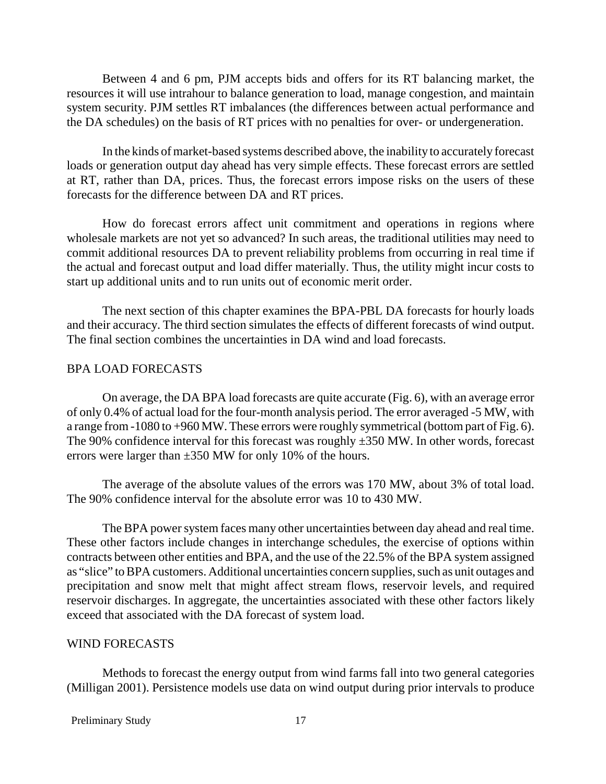Between 4 and 6 pm, PJM accepts bids and offers for its RT balancing market, the resources it will use intrahour to balance generation to load, manage congestion, and maintain system security. PJM settles RT imbalances (the differences between actual performance and the DA schedules) on the basis of RT prices with no penalties for over- or undergeneration.

In the kinds of market-based systems described above, the inability to accurately forecast loads or generation output day ahead has very simple effects. These forecast errors are settled at RT, rather than DA, prices. Thus, the forecast errors impose risks on the users of these forecasts for the difference between DA and RT prices.

How do forecast errors affect unit commitment and operations in regions where wholesale markets are not yet so advanced? In such areas, the traditional utilities may need to commit additional resources DA to prevent reliability problems from occurring in real time if the actual and forecast output and load differ materially. Thus, the utility might incur costs to start up additional units and to run units out of economic merit order.

The next section of this chapter examines the BPA-PBL DA forecasts for hourly loads and their accuracy. The third section simulates the effects of different forecasts of wind output. The final section combines the uncertainties in DA wind and load forecasts.

#### BPA LOAD FORECASTS

On average, the DA BPA load forecasts are quite accurate (Fig. 6), with an average error of only 0.4% of actual load for the four-month analysis period. The error averaged -5 MW, with a range from -1080 to +960 MW. These errors were roughly symmetrical (bottom part of Fig. 6). The 90% confidence interval for this forecast was roughly  $\pm$ 350 MW. In other words, forecast errors were larger than  $\pm 350$  MW for only 10% of the hours.

The average of the absolute values of the errors was 170 MW, about 3% of total load. The 90% confidence interval for the absolute error was 10 to 430 MW.

The BPA power system faces many other uncertainties between day ahead and real time. These other factors include changes in interchange schedules, the exercise of options within contracts between other entities and BPA, and the use of the 22.5% of the BPA system assigned as "slice" to BPA customers. Additional uncertainties concern supplies, such as unit outages and precipitation and snow melt that might affect stream flows, reservoir levels, and required reservoir discharges. In aggregate, the uncertainties associated with these other factors likely exceed that associated with the DA forecast of system load.

#### WIND FORECASTS

Methods to forecast the energy output from wind farms fall into two general categories (Milligan 2001). Persistence models use data on wind output during prior intervals to produce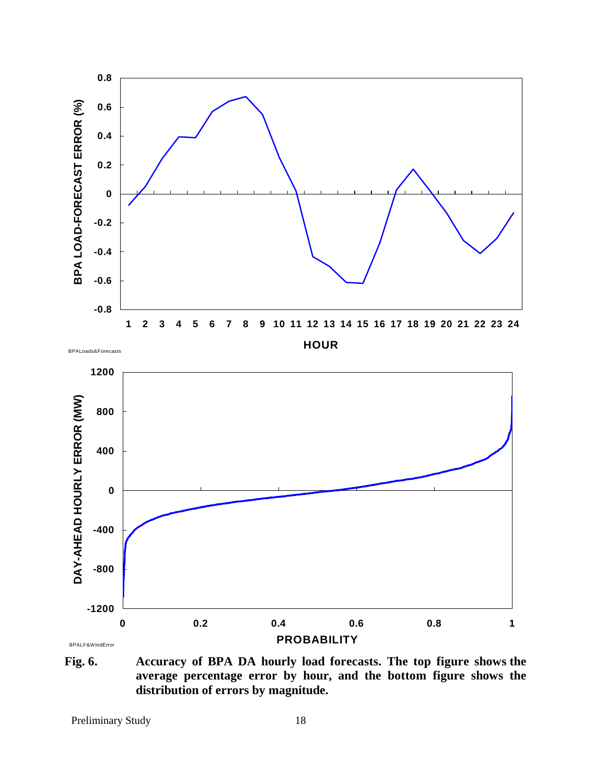

**Fig. 6. Accuracy of BPA DA hourly load forecasts. The top figure shows the average percentage error by hour, and the bottom figure shows the distribution of errors by magnitude.**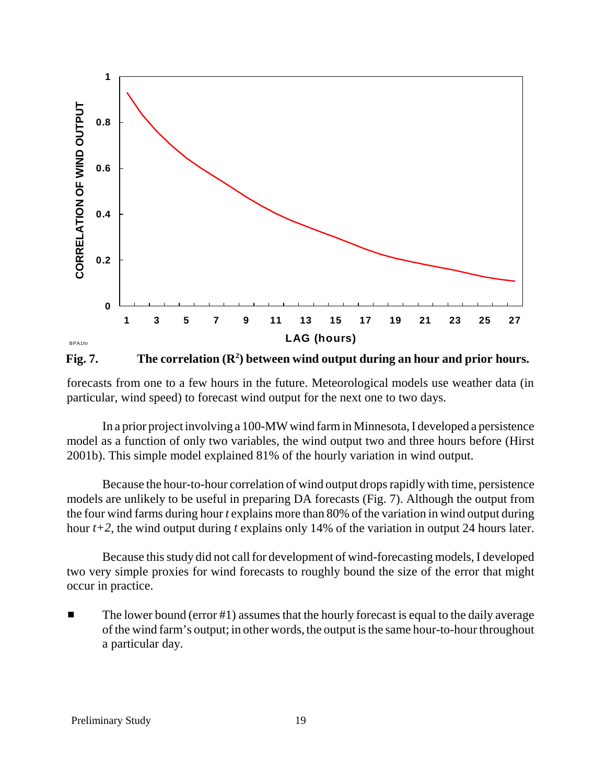

Fig. 7. The correlation  $(\mathbb{R}^2)$  between wind output during an hour and prior hours.

forecasts from one to a few hours in the future. Meteorological models use weather data (in particular, wind speed) to forecast wind output for the next one to two days.

In a prior project involving a 100-MW wind farm in Minnesota, I developed a persistence model as a function of only two variables, the wind output two and three hours before (Hirst 2001b). This simple model explained 81% of the hourly variation in wind output.

Because the hour-to-hour correlation of wind output drops rapidly with time, persistence models are unlikely to be useful in preparing DA forecasts (Fig. 7). Although the output from the four wind farms during hour *t* explains more than 80% of the variation in wind output during hour *t+2*, the wind output during *t* explains only 14% of the variation in output 24 hours later.

Because this study did not call for development of wind-forecasting models, I developed two very simple proxies for wind forecasts to roughly bound the size of the error that might occur in practice.

 $\blacksquare$  The lower bound (error #1) assumes that the hourly forecast is equal to the daily average of the wind farm's output; in other words, the output is the same hour-to-hour throughout a particular day.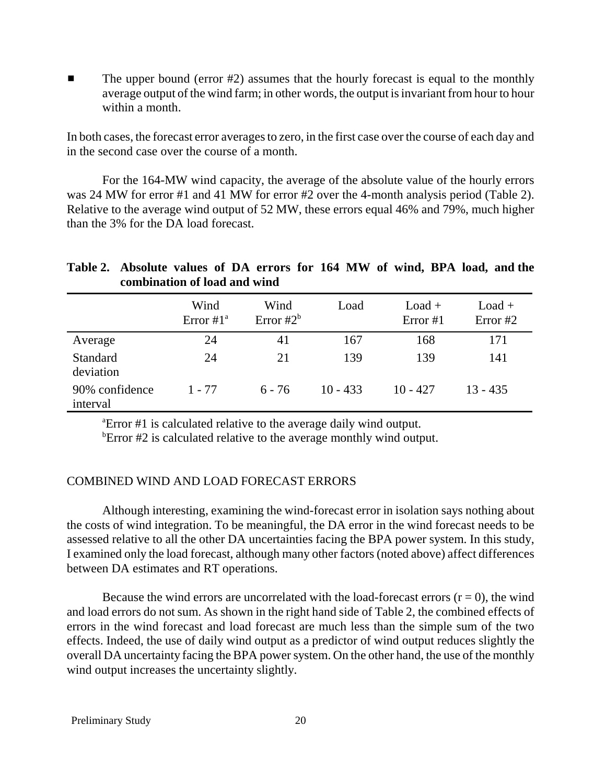■ The upper bound (error #2) assumes that the hourly forecast is equal to the monthly average output of the wind farm; in other words, the output is invariant from hour to hour within a month.

In both cases, the forecast error averages to zero, in the first case over the course of each day and in the second case over the course of a month.

For the 164-MW wind capacity, the average of the absolute value of the hourly errors was 24 MW for error #1 and 41 MW for error #2 over the 4-month analysis period (Table 2). Relative to the average wind output of 52 MW, these errors equal 46% and 79%, much higher than the 3% for the DA load forecast.

## **Table 2. Absolute values of DA errors for 164 MW of wind, BPA load, and the combination of load and wind**

|                              | Wind<br>Error $#1^a$ | Wind<br>Error $#2^b$ | Load       | $Load +$<br>Error #1 | $Load +$<br>Error $#2$ |
|------------------------------|----------------------|----------------------|------------|----------------------|------------------------|
| Average                      | 24                   | 41                   | 167        | 168                  | 171                    |
| <b>Standard</b><br>deviation | 24                   | 21                   | 139        | 139                  | 141                    |
| 90% confidence<br>interval   | $1 - 77$             | $6 - 76$             | $10 - 433$ | $10 - 427$           | $13 - 435$             |

a Error #1 is calculated relative to the average daily wind output.

<sup>b</sup>Error  $#2$  is calculated relative to the average monthly wind output.

#### COMBINED WIND AND LOAD FORECAST ERRORS

Although interesting, examining the wind-forecast error in isolation says nothing about the costs of wind integration. To be meaningful, the DA error in the wind forecast needs to be assessed relative to all the other DA uncertainties facing the BPA power system. In this study, I examined only the load forecast, although many other factors (noted above) affect differences between DA estimates and RT operations.

Because the wind errors are uncorrelated with the load-forecast errors  $(r = 0)$ , the wind and load errors do not sum. As shown in the right hand side of Table 2, the combined effects of errors in the wind forecast and load forecast are much less than the simple sum of the two effects. Indeed, the use of daily wind output as a predictor of wind output reduces slightly the overall DA uncertainty facing the BPA power system. On the other hand, the use of the monthly wind output increases the uncertainty slightly.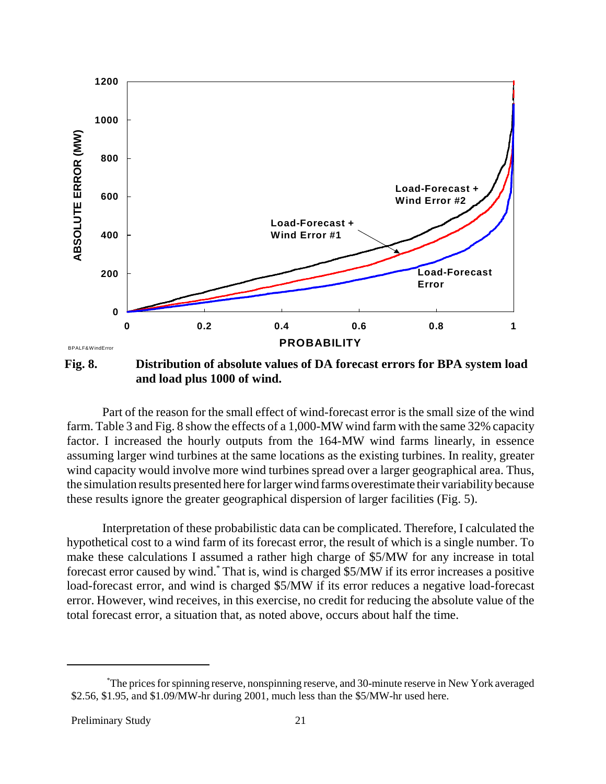

**Fig. 8. Distribution of absolute values of DA forecast errors for BPA system load and load plus 1000 of wind.**

Part of the reason for the small effect of wind-forecast error is the small size of the wind farm. Table 3 and Fig. 8 show the effects of a 1,000-MW wind farm with the same 32% capacity factor. I increased the hourly outputs from the 164-MW wind farms linearly, in essence assuming larger wind turbines at the same locations as the existing turbines. In reality, greater wind capacity would involve more wind turbines spread over a larger geographical area. Thus, the simulation results presented here for larger wind farms overestimate their variability because these results ignore the greater geographical dispersion of larger facilities (Fig. 5).

Interpretation of these probabilistic data can be complicated. Therefore, I calculated the hypothetical cost to a wind farm of its forecast error, the result of which is a single number. To make these calculations I assumed a rather high charge of \$5/MW for any increase in total forecast error caused by wind.\* That is, wind is charged \$5/MW if its error increases a positive load-forecast error, and wind is charged \$5/MW if its error reduces a negative load-forecast error. However, wind receives, in this exercise, no credit for reducing the absolute value of the total forecast error, a situation that, as noted above, occurs about half the time.

<sup>\*</sup> The prices for spinning reserve, nonspinning reserve, and 30-minute reserve in New York averaged \$2.56, \$1.95, and \$1.09/MW-hr during 2001, much less than the \$5/MW-hr used here.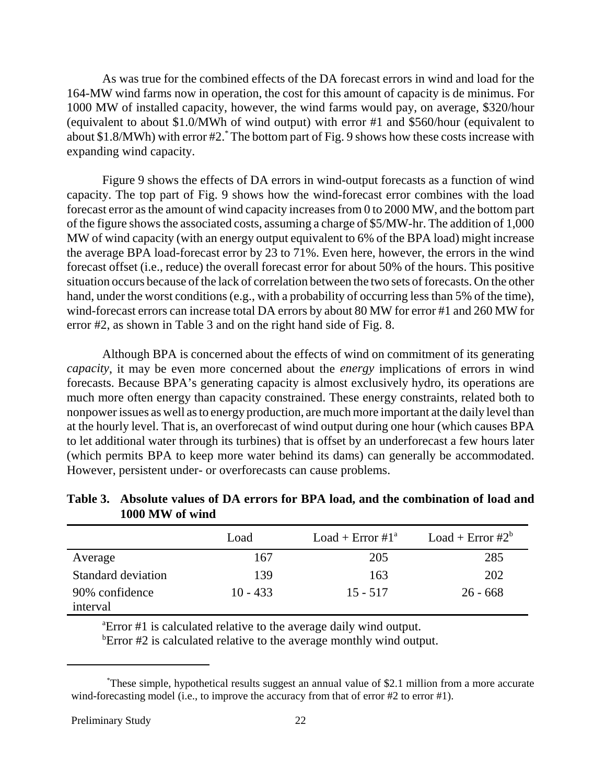As was true for the combined effects of the DA forecast errors in wind and load for the 164-MW wind farms now in operation, the cost for this amount of capacity is de minimus. For 1000 MW of installed capacity, however, the wind farms would pay, on average, \$320/hour (equivalent to about \$1.0/MWh of wind output) with error #1 and \$560/hour (equivalent to about \$1.8/MWh) with error #2.\* The bottom part of Fig. 9 shows how these costs increase with expanding wind capacity.

Figure 9 shows the effects of DA errors in wind-output forecasts as a function of wind capacity. The top part of Fig. 9 shows how the wind-forecast error combines with the load forecast error as the amount of wind capacity increases from 0 to 2000 MW, and the bottom part of the figure shows the associated costs, assuming a charge of \$5/MW-hr. The addition of 1,000 MW of wind capacity (with an energy output equivalent to 6% of the BPA load) might increase the average BPA load-forecast error by 23 to 71%. Even here, however, the errors in the wind forecast offset (i.e., reduce) the overall forecast error for about 50% of the hours. This positive situation occurs because of the lack of correlation between the two sets of forecasts. On the other hand, under the worst conditions (e.g., with a probability of occurring less than 5% of the time), wind-forecast errors can increase total DA errors by about 80 MW for error #1 and 260 MW for error #2, as shown in Table 3 and on the right hand side of Fig. 8.

Although BPA is concerned about the effects of wind on commitment of its generating *capacity*, it may be even more concerned about the *energy* implications of errors in wind forecasts. Because BPA's generating capacity is almost exclusively hydro, its operations are much more often energy than capacity constrained. These energy constraints, related both to nonpower issues as well as to energy production, are much more important at the daily level than at the hourly level. That is, an overforecast of wind output during one hour (which causes BPA to let additional water through its turbines) that is offset by an underforecast a few hours later (which permits BPA to keep more water behind its dams) can generally be accommodated. However, persistent under- or overforecasts can cause problems.

|                    | Load       | Load + Error $#1^a$ | Load + Error $#2^b$ |
|--------------------|------------|---------------------|---------------------|
| Average            | 167        | 205                 | 285                 |
| Standard deviation | 139        | 163                 | 202                 |
| 90% confidence     | $10 - 433$ | $15 - 517$          | $26 - 668$          |
| interval           |            |                     |                     |

**Table 3. Absolute values of DA errors for BPA load, and the combination of load and 1000 MW of wind**

a Error #1 is calculated relative to the average daily wind output.

<sup>b</sup>Error #2 is calculated relative to the average monthly wind output.

<sup>\*</sup> These simple, hypothetical results suggest an annual value of \$2.1 million from a more accurate wind-forecasting model (i.e., to improve the accuracy from that of error #2 to error #1).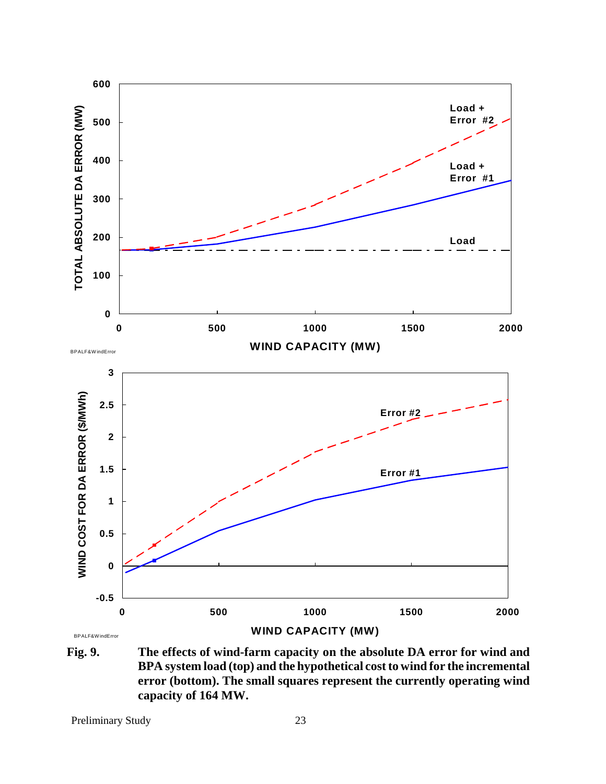

**Fig. 9. The effects of wind-farm capacity on the absolute DA error for wind and BPA system load (top) and the hypothetical cost to wind for the incremental error (bottom). The small squares represent the currently operating wind capacity of 164 MW.**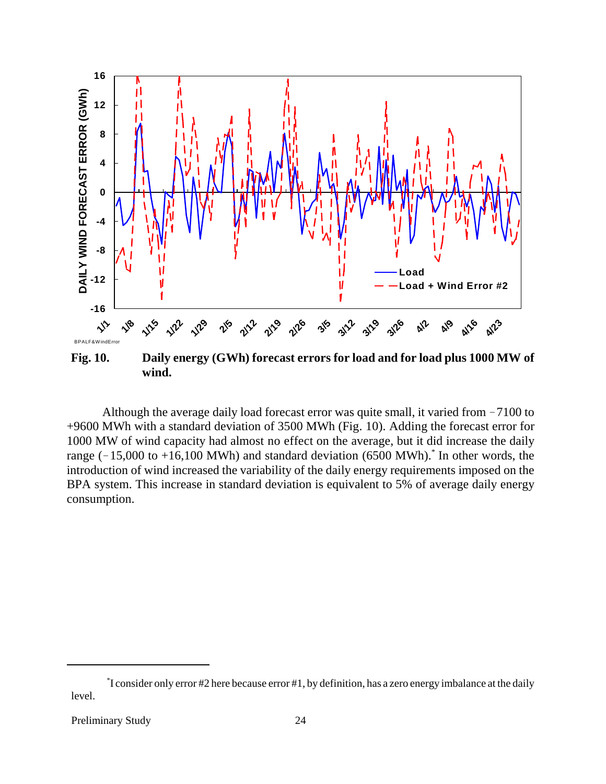

Although the average daily load forecast error was quite small, it varied from  $-7100$  to +9600 MWh with a standard deviation of 3500 MWh (Fig. 10). Adding the forecast error for 1000 MW of wind capacity had almost no effect on the average, but it did increase the daily range  $(-15,000$  to  $+16,100$  MWh) and standard deviation (6500 MWh).<sup>\*</sup> In other words, the introduction of wind increased the variability of the daily energy requirements imposed on the BPA system. This increase in standard deviation is equivalent to 5% of average daily energy consumption.

<sup>\*</sup> I consider only error #2 here because error #1, by definition, has a zero energy imbalance at the daily level.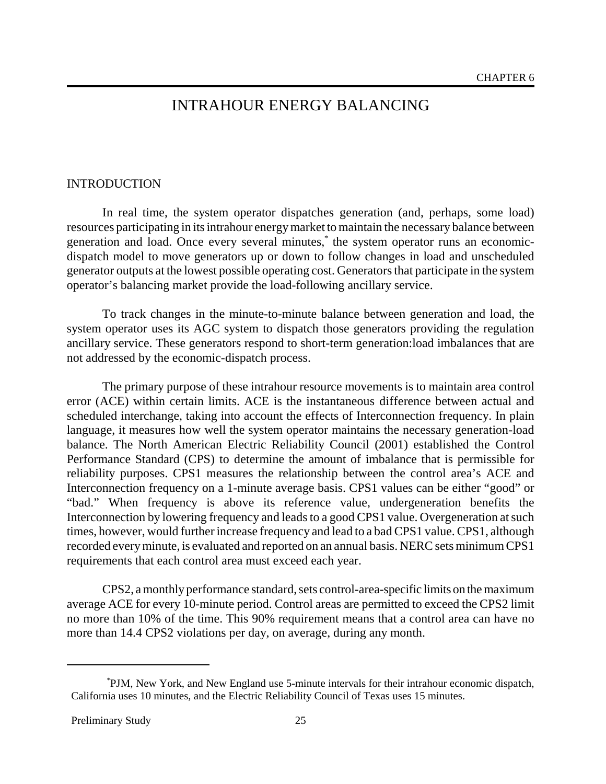# INTRAHOUR ENERGY BALANCING

#### INTRODUCTION

In real time, the system operator dispatches generation (and, perhaps, some load) resources participating in its intrahour energy market to maintain the necessary balance between generation and load. Once every several minutes,\* the system operator runs an economicdispatch model to move generators up or down to follow changes in load and unscheduled generator outputs at the lowest possible operating cost. Generators that participate in the system operator's balancing market provide the load-following ancillary service.

To track changes in the minute-to-minute balance between generation and load, the system operator uses its AGC system to dispatch those generators providing the regulation ancillary service. These generators respond to short-term generation:load imbalances that are not addressed by the economic-dispatch process.

The primary purpose of these intrahour resource movements is to maintain area control error (ACE) within certain limits. ACE is the instantaneous difference between actual and scheduled interchange, taking into account the effects of Interconnection frequency. In plain language, it measures how well the system operator maintains the necessary generation-load balance. The North American Electric Reliability Council (2001) established the Control Performance Standard (CPS) to determine the amount of imbalance that is permissible for reliability purposes. CPS1 measures the relationship between the control area's ACE and Interconnection frequency on a 1-minute average basis. CPS1 values can be either "good" or "bad." When frequency is above its reference value, undergeneration benefits the Interconnection by lowering frequency and leads to a good CPS1 value. Overgeneration at such times, however, would further increase frequency and lead to a bad CPS1 value. CPS1, although recorded every minute, is evaluated and reported on an annual basis. NERC sets minimum CPS1 requirements that each control area must exceed each year.

CPS2, a monthly performance standard, sets control-area-specific limits on the maximum average ACE for every 10-minute period. Control areas are permitted to exceed the CPS2 limit no more than 10% of the time. This 90% requirement means that a control area can have no more than 14.4 CPS2 violations per day, on average, during any month.

<sup>\*</sup> PJM, New York, and New England use 5-minute intervals for their intrahour economic dispatch, California uses 10 minutes, and the Electric Reliability Council of Texas uses 15 minutes.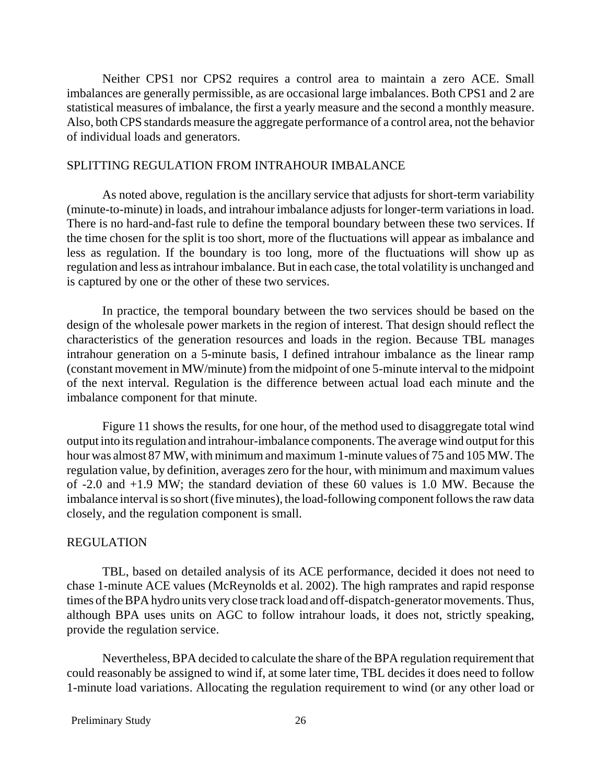Neither CPS1 nor CPS2 requires a control area to maintain a zero ACE. Small imbalances are generally permissible, as are occasional large imbalances. Both CPS1 and 2 are statistical measures of imbalance, the first a yearly measure and the second a monthly measure. Also, both CPS standards measure the aggregate performance of a control area, not the behavior of individual loads and generators.

#### SPLITTING REGULATION FROM INTRAHOUR IMBALANCE

As noted above, regulation is the ancillary service that adjusts for short-term variability (minute-to-minute) in loads, and intrahour imbalance adjusts for longer-term variations in load. There is no hard-and-fast rule to define the temporal boundary between these two services. If the time chosen for the split is too short, more of the fluctuations will appear as imbalance and less as regulation. If the boundary is too long, more of the fluctuations will show up as regulation and less as intrahour imbalance. But in each case, the total volatility is unchanged and is captured by one or the other of these two services.

In practice, the temporal boundary between the two services should be based on the design of the wholesale power markets in the region of interest. That design should reflect the characteristics of the generation resources and loads in the region. Because TBL manages intrahour generation on a 5-minute basis, I defined intrahour imbalance as the linear ramp (constant movement in MW/minute) from the midpoint of one 5-minute interval to the midpoint of the next interval. Regulation is the difference between actual load each minute and the imbalance component for that minute.

Figure 11 shows the results, for one hour, of the method used to disaggregate total wind output into its regulation and intrahour-imbalance components. The average wind output for this hour was almost 87 MW, with minimum and maximum 1-minute values of 75 and 105 MW. The regulation value, by definition, averages zero for the hour, with minimum and maximum values of -2.0 and +1.9 MW; the standard deviation of these 60 values is 1.0 MW. Because the imbalance interval is so short (five minutes), the load-following component follows the raw data closely, and the regulation component is small.

#### REGULATION

TBL, based on detailed analysis of its ACE performance, decided it does not need to chase 1-minute ACE values (McReynolds et al. 2002). The high ramprates and rapid response times of the BPA hydro units very close track load and off-dispatch-generator movements. Thus, although BPA uses units on AGC to follow intrahour loads, it does not, strictly speaking, provide the regulation service.

Nevertheless, BPA decided to calculate the share of the BPA regulation requirement that could reasonably be assigned to wind if, at some later time, TBL decides it does need to follow 1-minute load variations. Allocating the regulation requirement to wind (or any other load or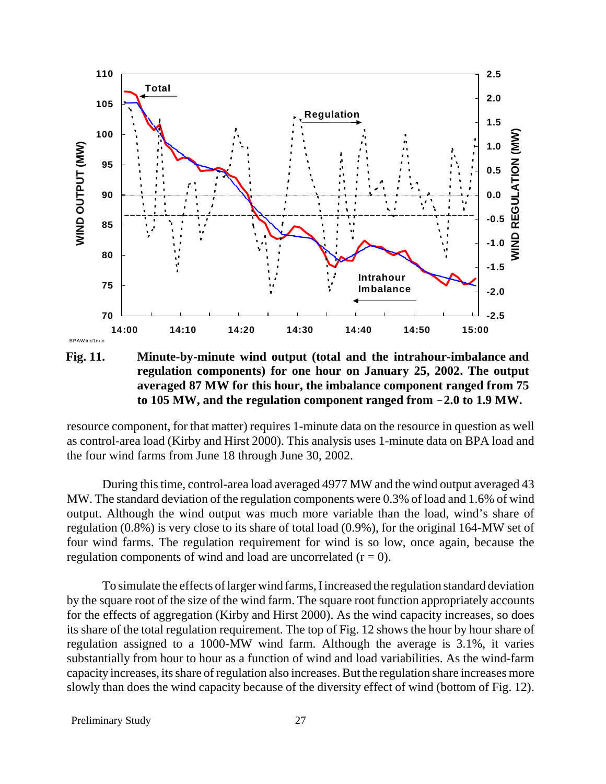

**Fig. 11. Minute-by-minute wind output (total and the intrahour-imbalance and regulation components) for one hour on January 25, 2002. The output averaged 87 MW for this hour, the imbalance component ranged from 75 to 105 MW, and the regulation component ranged from 2.0 to 1.9 MW.**

resource component, for that matter) requires 1-minute data on the resource in question as well as control-area load (Kirby and Hirst 2000). This analysis uses 1-minute data on BPA load and the four wind farms from June 18 through June 30, 2002.

During this time, control-area load averaged 4977 MW and the wind output averaged 43 MW. The standard deviation of the regulation components were 0.3% of load and 1.6% of wind output. Although the wind output was much more variable than the load, wind's share of regulation (0.8%) is very close to its share of total load (0.9%), for the original 164-MW set of four wind farms. The regulation requirement for wind is so low, once again, because the regulation components of wind and load are uncorrelated  $(r = 0)$ .

To simulate the effects of larger wind farms, I increased the regulation standard deviation by the square root of the size of the wind farm. The square root function appropriately accounts for the effects of aggregation (Kirby and Hirst 2000). As the wind capacity increases, so does its share of the total regulation requirement. The top of Fig. 12 shows the hour by hour share of regulation assigned to a 1000-MW wind farm. Although the average is 3.1%, it varies substantially from hour to hour as a function of wind and load variabilities. As the wind-farm capacity increases, its share of regulation also increases. But the regulation share increases more slowly than does the wind capacity because of the diversity effect of wind (bottom of Fig. 12).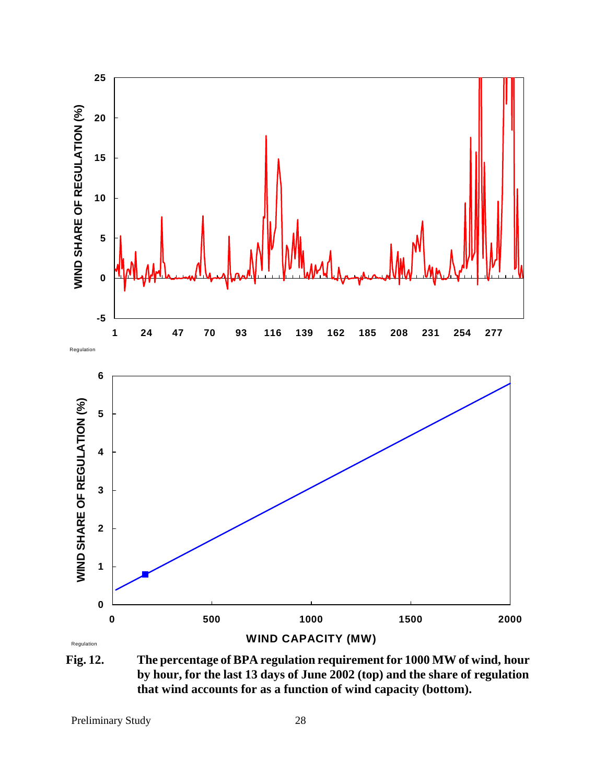

**Fig. 12. The percentage of BPA regulation requirement for 1000 MW of wind, hour by hour, for the last 13 days of June 2002 (top) and the share of regulation that wind accounts for as a function of wind capacity (bottom).**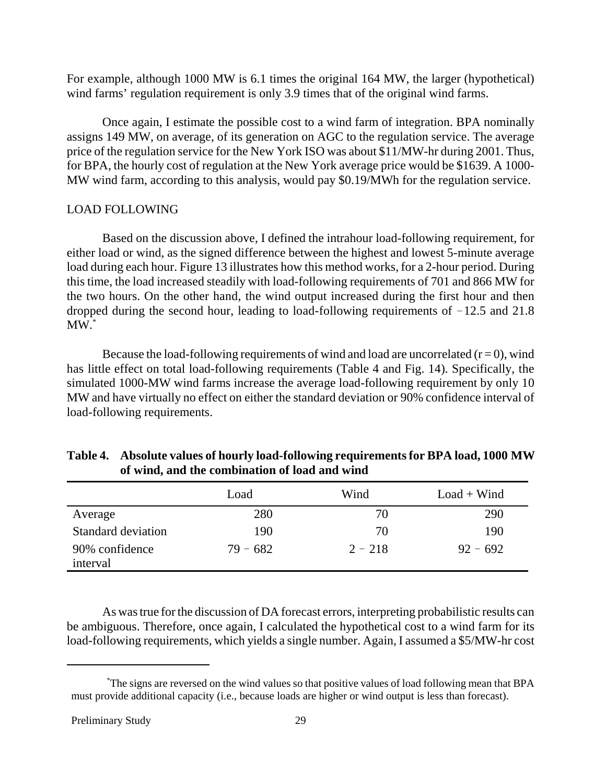For example, although 1000 MW is 6.1 times the original 164 MW, the larger (hypothetical) wind farms' regulation requirement is only 3.9 times that of the original wind farms.

Once again, I estimate the possible cost to a wind farm of integration. BPA nominally assigns 149 MW, on average, of its generation on AGC to the regulation service. The average price of the regulation service for the New York ISO was about \$11/MW-hr during 2001. Thus, for BPA, the hourly cost of regulation at the New York average price would be \$1639. A 1000- MW wind farm, according to this analysis, would pay \$0.19/MWh for the regulation service.

### LOAD FOLLOWING

Based on the discussion above, I defined the intrahour load-following requirement, for either load or wind, as the signed difference between the highest and lowest 5-minute average load during each hour. Figure 13 illustrates how this method works, for a 2-hour period. During this time, the load increased steadily with load-following requirements of 701 and 866 MW for the two hours. On the other hand, the wind output increased during the first hour and then dropped during the second hour, leading to load-following requirements of  $-12.5$  and 21.8  $MW.*$ 

Because the load-following requirements of wind and load are uncorrelated  $(r = 0)$ , wind has little effect on total load-following requirements (Table 4 and Fig. 14). Specifically, the simulated 1000-MW wind farms increase the average load-following requirement by only 10 MW and have virtually no effect on either the standard deviation or 90% confidence interval of load-following requirements.

|                    | Load       | Wind      | $Load + Wind$ |
|--------------------|------------|-----------|---------------|
| Average            | 280        | 70        | 290           |
| Standard deviation | 190        | 70        | 190           |
| 90% confidence     | $79 - 682$ | $2 - 218$ | $92 - 692$    |
| interval           |            |           |               |

| Table 4. Absolute values of hourly load-following requirements for BPA load, 1000 MW |
|--------------------------------------------------------------------------------------|
| of wind, and the combination of load and wind                                        |

As was true for the discussion of DA forecast errors, interpreting probabilistic results can be ambiguous. Therefore, once again, I calculated the hypothetical cost to a wind farm for its load-following requirements, which yields a single number. Again, I assumed a \$5/MW-hr cost

<sup>\*</sup> The signs are reversed on the wind values so that positive values of load following mean that BPA must provide additional capacity (i.e., because loads are higher or wind output is less than forecast).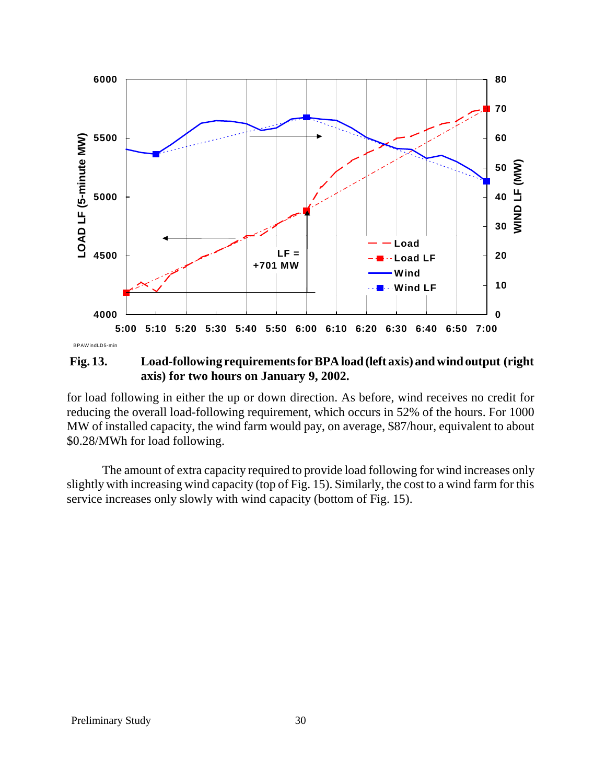

**Fig. 13. Load-following requirements for BPA load (left axis) and wind output (right axis) for two hours on January 9, 2002.**

for load following in either the up or down direction. As before, wind receives no credit for reducing the overall load-following requirement, which occurs in 52% of the hours. For 1000 MW of installed capacity, the wind farm would pay, on average, \$87/hour, equivalent to about \$0.28/MWh for load following.

The amount of extra capacity required to provide load following for wind increases only slightly with increasing wind capacity (top of Fig. 15). Similarly, the cost to a wind farm for this service increases only slowly with wind capacity (bottom of Fig. 15).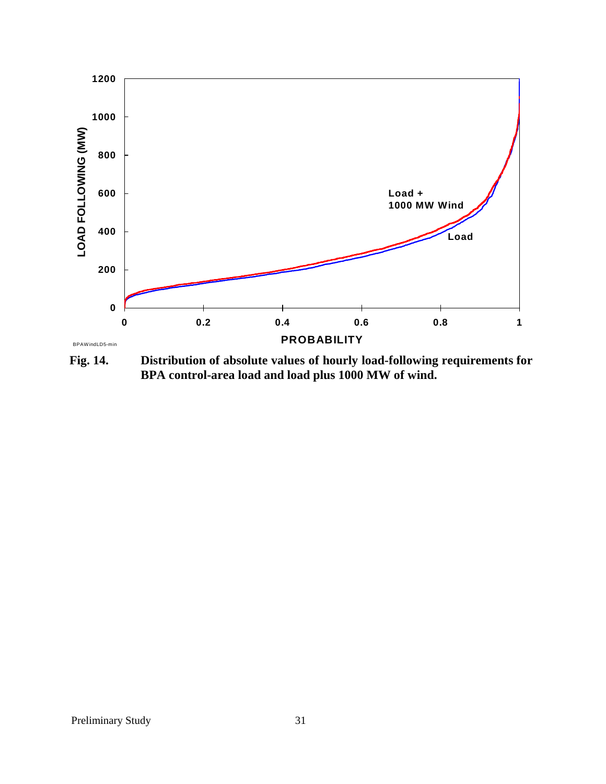

**Fig. 14. Distribution of absolute values of hourly load-following requirements for BPA control-area load and load plus 1000 MW of wind.**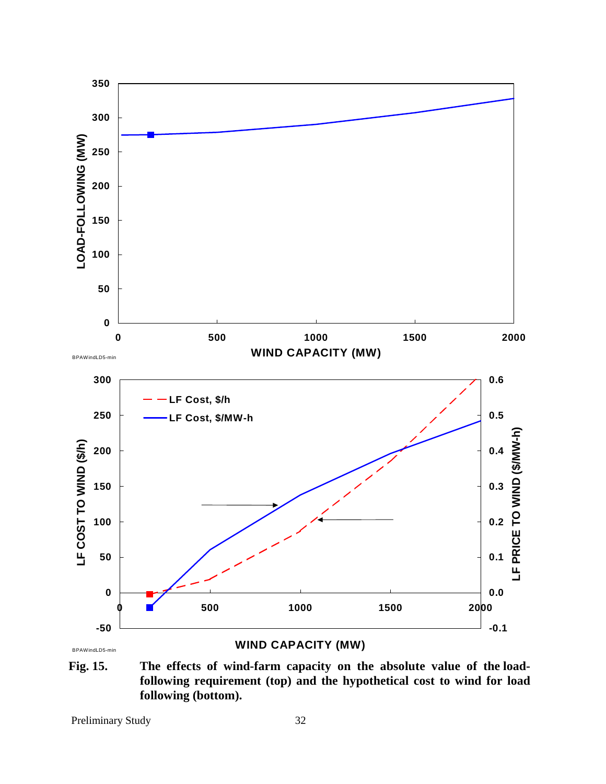

**Fig. 15. The effects of wind-farm capacity on the absolute value of the loadfollowing requirement (top) and the hypothetical cost to wind for load following (bottom).**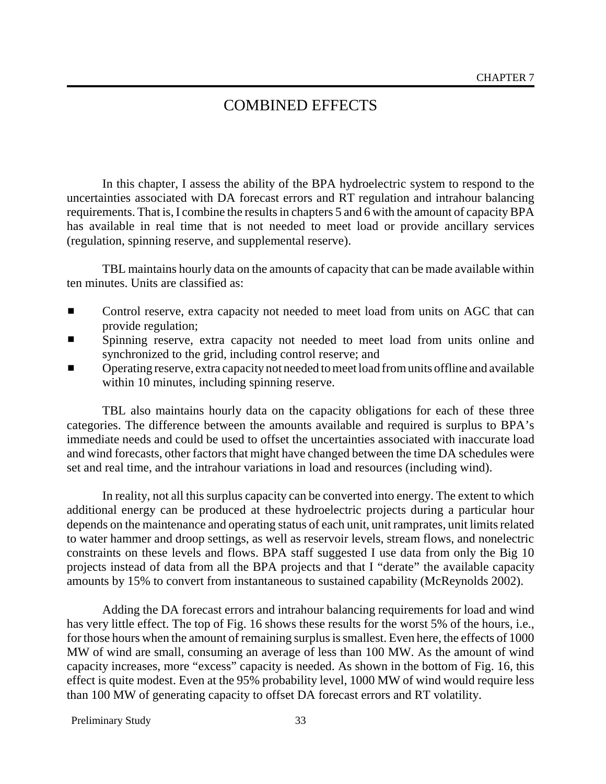# COMBINED EFFECTS

In this chapter, I assess the ability of the BPA hydroelectric system to respond to the uncertainties associated with DA forecast errors and RT regulation and intrahour balancing requirements. That is, I combine the results in chapters 5 and 6 with the amount of capacity BPA has available in real time that is not needed to meet load or provide ancillary services (regulation, spinning reserve, and supplemental reserve).

TBL maintains hourly data on the amounts of capacity that can be made available within ten minutes. Units are classified as:

- Control reserve, extra capacity not needed to meet load from units on AGC that can provide regulation;
- Spinning reserve, extra capacity not needed to meet load from units online and synchronized to the grid, including control reserve; and
- Operating reserve, extra capacity not needed to meet load from units of fline and available within 10 minutes, including spinning reserve.

TBL also maintains hourly data on the capacity obligations for each of these three categories. The difference between the amounts available and required is surplus to BPA's immediate needs and could be used to offset the uncertainties associated with inaccurate load and wind forecasts, other factors that might have changed between the time DA schedules were set and real time, and the intrahour variations in load and resources (including wind).

In reality, not all this surplus capacity can be converted into energy. The extent to which additional energy can be produced at these hydroelectric projects during a particular hour depends on the maintenance and operating status of each unit, unit ramprates, unit limits related to water hammer and droop settings, as well as reservoir levels, stream flows, and nonelectric constraints on these levels and flows. BPA staff suggested I use data from only the Big 10 projects instead of data from all the BPA projects and that I "derate" the available capacity amounts by 15% to convert from instantaneous to sustained capability (McReynolds 2002).

Adding the DA forecast errors and intrahour balancing requirements for load and wind has very little effect. The top of Fig. 16 shows these results for the worst 5% of the hours, i.e., for those hours when the amount of remaining surplus is smallest. Even here, the effects of 1000 MW of wind are small, consuming an average of less than 100 MW. As the amount of wind capacity increases, more "excess" capacity is needed. As shown in the bottom of Fig. 16, this effect is quite modest. Even at the 95% probability level, 1000 MW of wind would require less than 100 MW of generating capacity to offset DA forecast errors and RT volatility.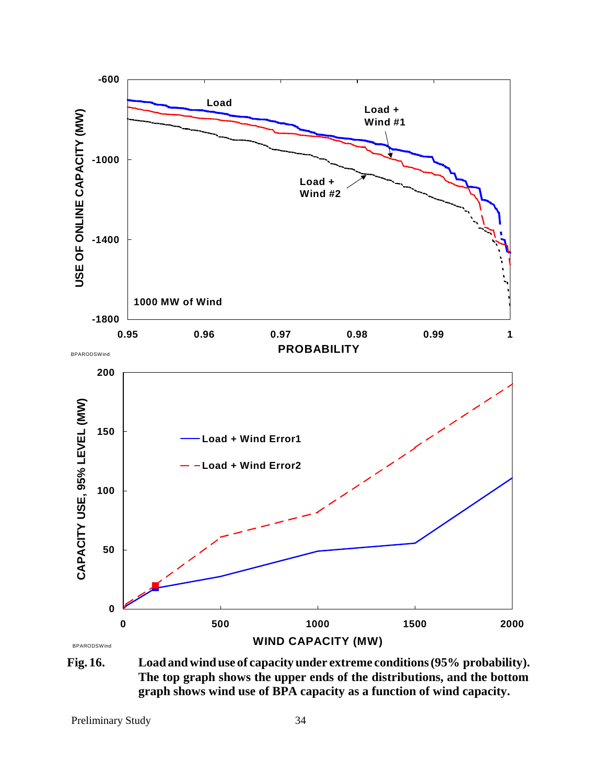

**Fig. 16. Load and wind use of capacity under extreme conditions (95% probability). The top graph shows the upper ends of the distributions, and the bottom graph shows wind use of BPA capacity as a function of wind capacity.**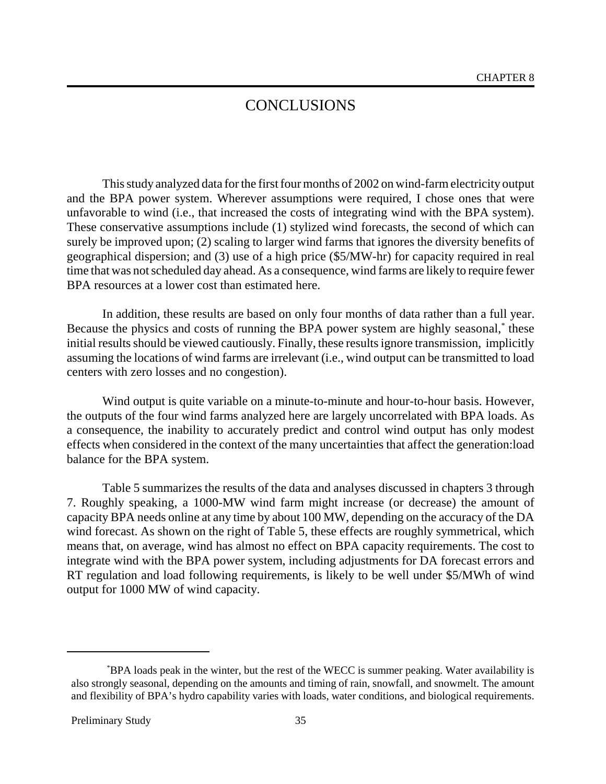# **CONCLUSIONS**

This study analyzed data for the first four months of 2002 on wind-farm electricity output and the BPA power system. Wherever assumptions were required, I chose ones that were unfavorable to wind (i.e., that increased the costs of integrating wind with the BPA system). These conservative assumptions include (1) stylized wind forecasts, the second of which can surely be improved upon; (2) scaling to larger wind farms that ignores the diversity benefits of geographical dispersion; and (3) use of a high price (\$5/MW-hr) for capacity required in real time that was not scheduled day ahead. As a consequence, wind farms are likely to require fewer BPA resources at a lower cost than estimated here.

In addition, these results are based on only four months of data rather than a full year. Because the physics and costs of running the BPA power system are highly seasonal,\* these initial results should be viewed cautiously. Finally, these results ignore transmission, implicitly assuming the locations of wind farms are irrelevant (i.e., wind output can be transmitted to load centers with zero losses and no congestion).

Wind output is quite variable on a minute-to-minute and hour-to-hour basis. However, the outputs of the four wind farms analyzed here are largely uncorrelated with BPA loads. As a consequence, the inability to accurately predict and control wind output has only modest effects when considered in the context of the many uncertainties that affect the generation:load balance for the BPA system.

Table 5 summarizes the results of the data and analyses discussed in chapters 3 through 7. Roughly speaking, a 1000-MW wind farm might increase (or decrease) the amount of capacity BPA needs online at any time by about 100 MW, depending on the accuracy of the DA wind forecast. As shown on the right of Table 5, these effects are roughly symmetrical, which means that, on average, wind has almost no effect on BPA capacity requirements. The cost to integrate wind with the BPA power system, including adjustments for DA forecast errors and RT regulation and load following requirements, is likely to be well under \$5/MWh of wind output for 1000 MW of wind capacity.

<sup>\*</sup> BPA loads peak in the winter, but the rest of the WECC is summer peaking. Water availability is also strongly seasonal, depending on the amounts and timing of rain, snowfall, and snowmelt. The amount and flexibility of BPA's hydro capability varies with loads, water conditions, and biological requirements.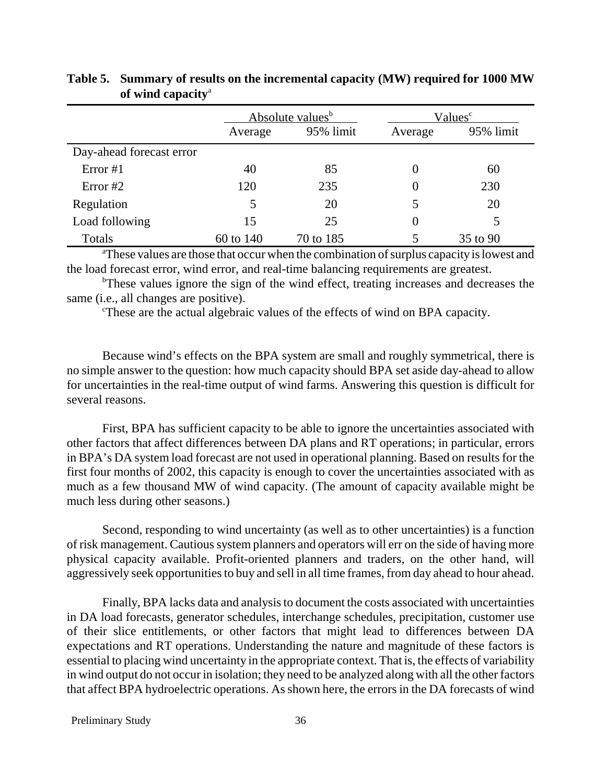|                          | Absolute values <sup>b</sup> |           | Values <sup>c</sup> |           |
|--------------------------|------------------------------|-----------|---------------------|-----------|
|                          | Average                      | 95% limit | Average             | 95% limit |
| Day-ahead forecast error |                              |           |                     |           |
| Error $#1$               | 40                           | 85        |                     | 60        |
| Error $#2$               | 120                          | 235       | $\theta$            | 230       |
| Regulation               |                              | 20        |                     | 20        |
| Load following           | 15                           | 25        | 0                   |           |
| Totals                   | 60 to 140                    | 70 to 185 |                     | 35 to 90  |

## **Table 5. Summary of results on the incremental capacity (MW) required for 1000 MW of wind capacity**<sup>a</sup>

<sup>a</sup>These values are those that occur when the combination of surplus capacity is lowest and the load forecast error, wind error, and real-time balancing requirements are greatest.

<sup>b</sup>These values ignore the sign of the wind effect, treating increases and decreases the same (i.e., all changes are positive).

These are the actual algebraic values of the effects of wind on BPA capacity.

Because wind's effects on the BPA system are small and roughly symmetrical, there is no simple answer to the question: how much capacity should BPA set aside day-ahead to allow for uncertainties in the real-time output of wind farms. Answering this question is difficult for several reasons.

First, BPA has sufficient capacity to be able to ignore the uncertainties associated with other factors that affect differences between DA plans and RT operations; in particular, errors in BPA's DA system load forecast are not used in operational planning. Based on results for the first four months of 2002, this capacity is enough to cover the uncertainties associated with as much as a few thousand MW of wind capacity. (The amount of capacity available might be much less during other seasons.)

Second, responding to wind uncertainty (as well as to other uncertainties) is a function of risk management. Cautious system planners and operators will err on the side of having more physical capacity available. Profit-oriented planners and traders, on the other hand, will aggressively seek opportunities to buy and sell in all time frames, from day ahead to hour ahead.

Finally, BPA lacks data and analysis to document the costs associated with uncertainties in DA load forecasts, generator schedules, interchange schedules, precipitation, customer use of their slice entitlements, or other factors that might lead to differences between DA expectations and RT operations. Understanding the nature and magnitude of these factors is essential to placing wind uncertainty in the appropriate context. That is, the effects of variability in wind output do not occur in isolation; they need to be analyzed along with all the other factors that affect BPA hydroelectric operations. As shown here, the errors in the DA forecasts of wind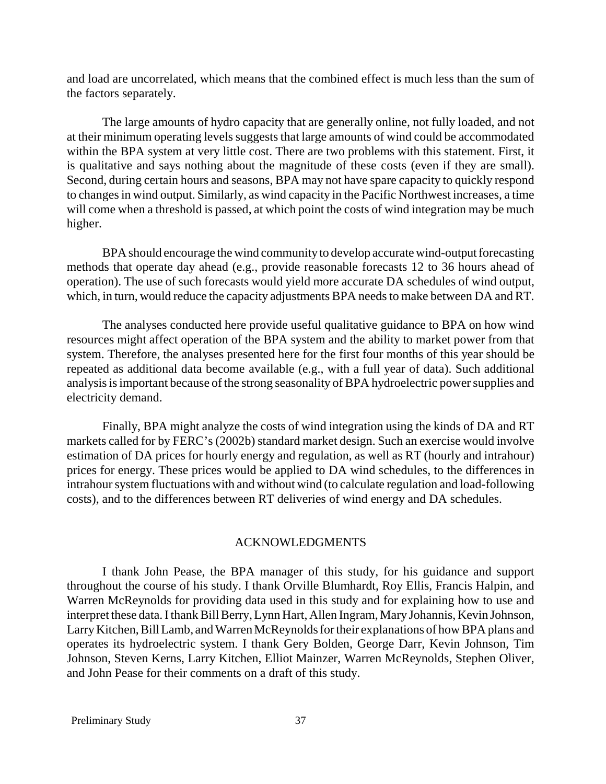and load are uncorrelated, which means that the combined effect is much less than the sum of the factors separately.

The large amounts of hydro capacity that are generally online, not fully loaded, and not at their minimum operating levels suggests that large amounts of wind could be accommodated within the BPA system at very little cost. There are two problems with this statement. First, it is qualitative and says nothing about the magnitude of these costs (even if they are small). Second, during certain hours and seasons, BPA may not have spare capacity to quickly respond to changes in wind output. Similarly, as wind capacity in the Pacific Northwest increases, a time will come when a threshold is passed, at which point the costs of wind integration may be much higher.

BPA should encourage the wind community to develop accurate wind-output forecasting methods that operate day ahead (e.g., provide reasonable forecasts 12 to 36 hours ahead of operation). The use of such forecasts would yield more accurate DA schedules of wind output, which, in turn, would reduce the capacity adjustments BPA needs to make between DA and RT.

The analyses conducted here provide useful qualitative guidance to BPA on how wind resources might affect operation of the BPA system and the ability to market power from that system. Therefore, the analyses presented here for the first four months of this year should be repeated as additional data become available (e.g., with a full year of data). Such additional analysis is important because of the strong seasonality of BPA hydroelectric power supplies and electricity demand.

Finally, BPA might analyze the costs of wind integration using the kinds of DA and RT markets called for by FERC's (2002b) standard market design. Such an exercise would involve estimation of DA prices for hourly energy and regulation, as well as RT (hourly and intrahour) prices for energy. These prices would be applied to DA wind schedules, to the differences in intrahour system fluctuations with and without wind (to calculate regulation and load-following costs), and to the differences between RT deliveries of wind energy and DA schedules.

#### ACKNOWLEDGMENTS

I thank John Pease, the BPA manager of this study, for his guidance and support throughout the course of his study. I thank Orville Blumhardt, Roy Ellis, Francis Halpin, and Warren McReynolds for providing data used in this study and for explaining how to use and interpret these data. I thank Bill Berry, Lynn Hart, Allen Ingram, Mary Johannis, Kevin Johnson, Larry Kitchen, Bill Lamb, and Warren McReynolds for their explanations of how BPA plans and operates its hydroelectric system. I thank Gery Bolden, George Darr, Kevin Johnson, Tim Johnson, Steven Kerns, Larry Kitchen, Elliot Mainzer, Warren McReynolds, Stephen Oliver, and John Pease for their comments on a draft of this study.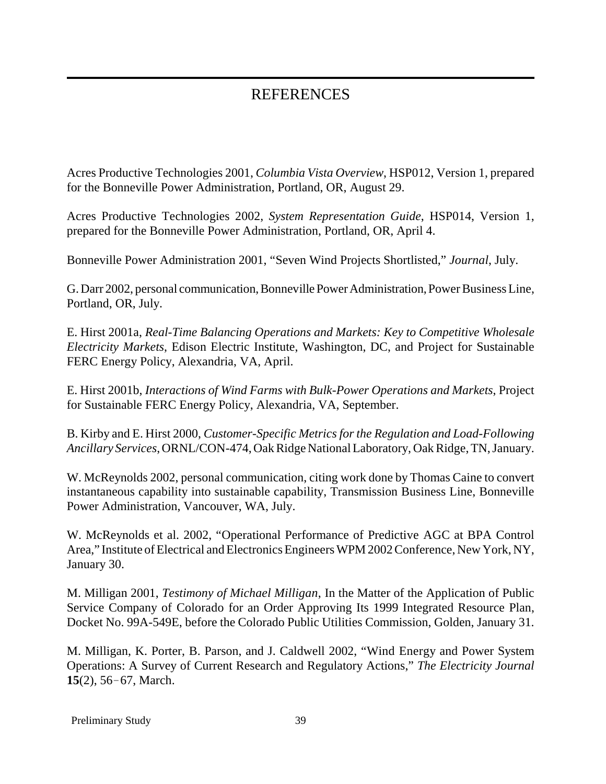# REFERENCES

Acres Productive Technologies 2001, *Columbia Vista Overview*, HSP012, Version 1, prepared for the Bonneville Power Administration, Portland, OR, August 29.

Acres Productive Technologies 2002, *System Representation Guide*, HSP014, Version 1, prepared for the Bonneville Power Administration, Portland, OR, April 4.

Bonneville Power Administration 2001, "Seven Wind Projects Shortlisted," *Journal*, July.

G. Darr 2002, personal communication, Bonneville Power Administration, Power Business Line, Portland, OR, July.

E. Hirst 2001a, *Real-Time Balancing Operations and Markets: Key to Competitive Wholesale Electricity Markets*, Edison Electric Institute, Washington, DC, and Project for Sustainable FERC Energy Policy, Alexandria, VA, April.

E. Hirst 2001b, *Interactions of Wind Farms with Bulk-Power Operations and Markets*, Project for Sustainable FERC Energy Policy, Alexandria, VA, September.

B. Kirby and E. Hirst 2000, *Customer-Specific Metrics for the Regulation and Load-Following Ancillary Services*, ORNL/CON-474, Oak Ridge National Laboratory, Oak Ridge, TN, January.

W. McReynolds 2002, personal communication, citing work done by Thomas Caine to convert instantaneous capability into sustainable capability, Transmission Business Line, Bonneville Power Administration, Vancouver, WA, July.

W. McReynolds et al. 2002, "Operational Performance of Predictive AGC at BPA Control Area," Institute of Electrical and Electronics Engineers WPM 2002 Conference, New York, NY, January 30.

M. Milligan 2001, *Testimony of Michael Milligan*, In the Matter of the Application of Public Service Company of Colorado for an Order Approving Its 1999 Integrated Resource Plan, Docket No. 99A-549E, before the Colorado Public Utilities Commission, Golden, January 31.

M. Milligan, K. Porter, B. Parson, and J. Caldwell 2002, "Wind Energy and Power System Operations: A Survey of Current Research and Regulatory Actions," *The Electricity Journal*  $15(2)$ , 56-67, March.